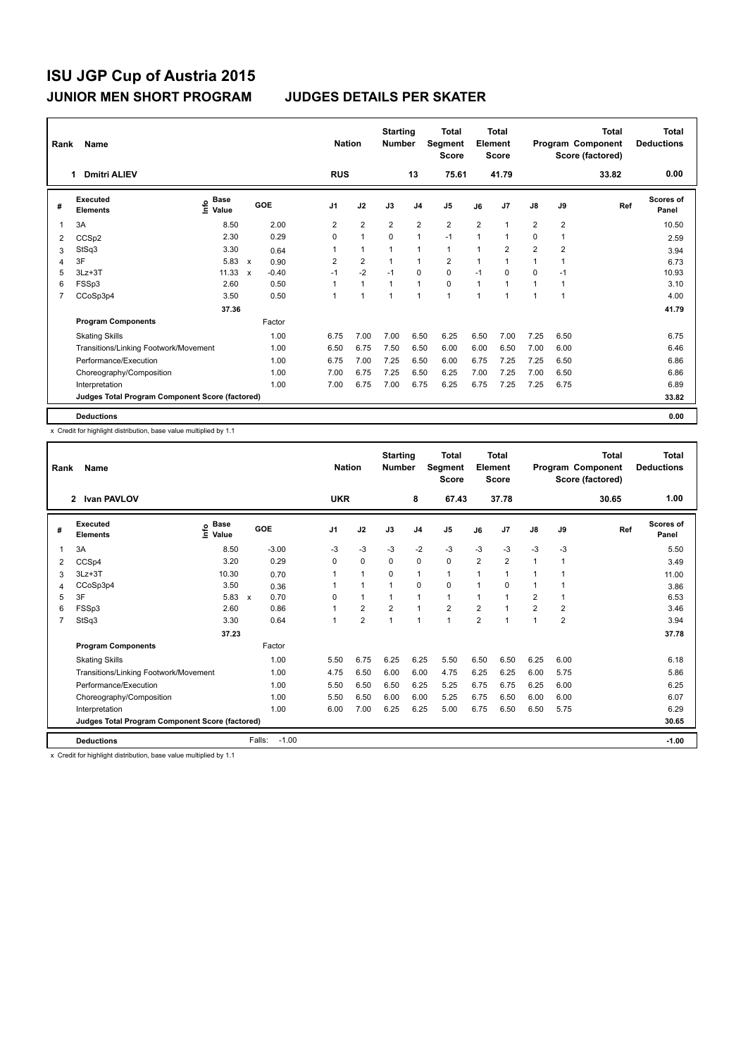| Rank           | <b>Name</b><br><b>Dmitri ALIEV</b><br>1         |                                    |                           |         |                |            | <b>Nation</b>  | <b>Starting</b><br><b>Number</b> |                | Total<br>Segment<br><b>Score</b> |                | <b>Total</b><br>Element<br><b>Score</b> |                |                | Total<br>Program Component<br>Score (factored) | <b>Total</b><br><b>Deductions</b> |
|----------------|-------------------------------------------------|------------------------------------|---------------------------|---------|----------------|------------|----------------|----------------------------------|----------------|----------------------------------|----------------|-----------------------------------------|----------------|----------------|------------------------------------------------|-----------------------------------|
|                |                                                 |                                    |                           |         |                | <b>RUS</b> |                |                                  | 13             | 75.61                            |                | 41.79                                   |                |                | 33.82                                          | 0.00                              |
| #              | Executed<br><b>Elements</b>                     | <b>Base</b><br>$\frac{6}{5}$ Value |                           | GOE     | J <sub>1</sub> |            | J2             | J3                               | J <sub>4</sub> | J <sub>5</sub>                   | J6             | J7                                      | $\mathsf{J}8$  | J9             | Ref                                            | Scores of<br>Panel                |
| -1             | 3A                                              | 8.50                               |                           | 2.00    | 2              |            | $\overline{2}$ | $\overline{2}$                   | 2              | $\overline{2}$                   | $\overline{2}$ | $\overline{1}$                          | $\overline{2}$ | $\overline{2}$ |                                                | 10.50                             |
| 2              | CCSp2                                           | 2.30                               |                           | 0.29    | $\Omega$       |            | $\mathbf{1}$   | $\Omega$                         | $\mathbf{1}$   | $-1$                             | 1              | 1                                       | 0              | 1              |                                                | 2.59                              |
| 3              | StSq3                                           | 3.30                               |                           | 0.64    |                |            | $\mathbf{1}$   |                                  | -1             | $\mathbf{1}$                     | 1              | $\overline{2}$                          | $\overline{2}$ | 2              |                                                | 3.94                              |
| 4              | 3F                                              | 5.83                               | $\boldsymbol{\mathsf{x}}$ | 0.90    | 2              |            | $\overline{2}$ |                                  | $\mathbf{1}$   | $\overline{2}$                   | 1              | 1                                       | 1              |                |                                                | 6.73                              |
| 5              | $3Lz + 3T$                                      | 11.33                              | $\mathsf{x}$              | $-0.40$ | $-1$           |            | $-2$           | $-1$                             | $\mathbf 0$    | $\mathbf 0$                      | $-1$           | $\Omega$                                | 0              | $-1$           |                                                | 10.93                             |
| 6              | FSSp3                                           | 2.60                               |                           | 0.50    |                |            | $\mathbf{1}$   | 1                                | $\mathbf{1}$   | $\mathbf 0$                      | $\mathbf{1}$   | 1                                       | $\mathbf 1$    | 1              |                                                | 3.10                              |
| $\overline{7}$ | CCoSp3p4                                        | 3.50                               |                           | 0.50    | 1              |            | $\overline{1}$ | 1                                | $\overline{1}$ | $\mathbf{1}$                     | $\overline{1}$ | 1                                       | 1              | 1              |                                                | 4.00                              |
|                |                                                 | 37.36                              |                           |         |                |            |                |                                  |                |                                  |                |                                         |                |                |                                                | 41.79                             |
|                | <b>Program Components</b>                       |                                    |                           | Factor  |                |            |                |                                  |                |                                  |                |                                         |                |                |                                                |                                   |
|                | <b>Skating Skills</b>                           |                                    |                           | 1.00    | 6.75           |            | 7.00           | 7.00                             | 6.50           | 6.25                             | 6.50           | 7.00                                    | 7.25           | 6.50           |                                                | 6.75                              |
|                | Transitions/Linking Footwork/Movement           |                                    |                           | 1.00    | 6.50           |            | 6.75           | 7.50                             | 6.50           | 6.00                             | 6.00           | 6.50                                    | 7.00           | 6.00           |                                                | 6.46                              |
|                | Performance/Execution                           |                                    |                           | 1.00    | 6.75           |            | 7.00           | 7.25                             | 6.50           | 6.00                             | 6.75           | 7.25                                    | 7.25           | 6.50           |                                                | 6.86                              |
|                | Choreography/Composition                        |                                    |                           | 1.00    | 7.00           |            | 6.75           | 7.25                             | 6.50           | 6.25                             | 7.00           | 7.25                                    | 7.00           | 6.50           |                                                | 6.86                              |
|                | Interpretation                                  |                                    |                           | 1.00    | 7.00           |            | 6.75           | 7.00                             | 6.75           | 6.25                             | 6.75           | 7.25                                    | 7.25           | 6.75           |                                                | 6.89                              |
|                | Judges Total Program Component Score (factored) |                                    |                           |         |                |            |                |                                  |                |                                  |                |                                         |                |                |                                                | 33.82                             |
|                | <b>Deductions</b>                               |                                    |                           |         |                |            |                |                                  |                |                                  |                |                                         |                |                |                                                | 0.00                              |

x Credit for highlight distribution, base value multiplied by 1.1

| Rank | Name                                            |                              |                      | <b>Nation</b> |                | <b>Starting</b><br><b>Number</b> |                | <b>Total</b><br>Segment<br><b>Score</b> |                | <b>Total</b><br>Element<br><b>Score</b> |                |                | <b>Total</b><br>Program Component<br>Score (factored) | <b>Total</b><br><b>Deductions</b><br>1.00 |
|------|-------------------------------------------------|------------------------------|----------------------|---------------|----------------|----------------------------------|----------------|-----------------------------------------|----------------|-----------------------------------------|----------------|----------------|-------------------------------------------------------|-------------------------------------------|
|      | 2 Ivan PAVLOV                                   |                              |                      | <b>UKR</b>    |                |                                  | 8              | 67.43                                   |                | 37.78                                   |                |                | 30.65                                                 |                                           |
| #    | <b>Executed</b><br><b>Elements</b>              | <b>Base</b><br>١nfo<br>Value | GOE                  | J1            | J2             | J3                               | J <sub>4</sub> | J <sub>5</sub>                          | J6             | J <sub>7</sub>                          | J8             | J9             | Ref                                                   | <b>Scores of</b><br>Panel                 |
| 1    | 3A                                              | 8.50                         | $-3.00$              | $-3$          | $-3$           | $-3$                             | $-2$           | $-3$                                    | $-3$           | $-3$                                    | $-3$           | $-3$           |                                                       | 5.50                                      |
| 2    | CCSp4                                           | 3.20                         | 0.29                 | $\Omega$      | $\mathbf 0$    | $\mathbf 0$                      | $\mathbf 0$    | 0                                       | $\overline{2}$ | $\overline{2}$                          | $\mathbf{1}$   | 1              |                                                       | 3.49                                      |
| 3    | $3Lz + 3T$                                      | 10.30                        | 0.70                 |               | $\mathbf{1}$   | $\mathbf 0$                      | 1              | $\mathbf{1}$                            | $\mathbf 1$    | $\overline{1}$                          | $\mathbf{1}$   | 1              |                                                       | 11.00                                     |
| 4    | CCoSp3p4                                        | 3.50                         | 0.36                 |               | 1              | $\overline{1}$                   | 0              | 0                                       | $\mathbf{1}$   | $\Omega$                                | $\mathbf{1}$   | 1              |                                                       | 3.86                                      |
| 5    | 3F                                              | 5.83                         | 0.70<br>$\mathsf{x}$ | 0             | $\mathbf{1}$   |                                  | 1              | $\blacktriangleleft$                    | $\mathbf 1$    | 1                                       | $\overline{2}$ | 1              |                                                       | 6.53                                      |
| 6    | FSSp3                                           | 2.60                         | 0.86                 |               | $\overline{2}$ | $\overline{2}$                   | 1              | $\overline{2}$                          | $\overline{2}$ | 4                                       | $\overline{2}$ | $\overline{2}$ |                                                       | 3.46                                      |
| 7    | StSq3                                           | 3.30                         | 0.64                 |               | $\overline{2}$ | 1                                | $\overline{1}$ | 1                                       | $\overline{2}$ | 1                                       | $\mathbf{1}$   | $\overline{2}$ |                                                       | 3.94                                      |
|      |                                                 | 37.23                        |                      |               |                |                                  |                |                                         |                |                                         |                |                |                                                       | 37.78                                     |
|      | <b>Program Components</b>                       |                              | Factor               |               |                |                                  |                |                                         |                |                                         |                |                |                                                       |                                           |
|      | <b>Skating Skills</b>                           |                              | 1.00                 | 5.50          | 6.75           | 6.25                             | 6.25           | 5.50                                    | 6.50           | 6.50                                    | 6.25           | 6.00           |                                                       | 6.18                                      |
|      | Transitions/Linking Footwork/Movement           |                              | 1.00                 | 4.75          | 6.50           | 6.00                             | 6.00           | 4.75                                    | 6.25           | 6.25                                    | 6.00           | 5.75           |                                                       | 5.86                                      |
|      | Performance/Execution                           |                              | 1.00                 | 5.50          | 6.50           | 6.50                             | 6.25           | 5.25                                    | 6.75           | 6.75                                    | 6.25           | 6.00           |                                                       | 6.25                                      |
|      | Choreography/Composition                        |                              | 1.00                 | 5.50          | 6.50           | 6.00                             | 6.00           | 5.25                                    | 6.75           | 6.50                                    | 6.00           | 6.00           |                                                       | 6.07                                      |
|      | Interpretation                                  |                              | 1.00                 | 6.00          | 7.00           | 6.25                             | 6.25           | 5.00                                    | 6.75           | 6.50                                    | 6.50           | 5.75           |                                                       | 6.29                                      |
|      | Judges Total Program Component Score (factored) |                              |                      |               |                |                                  |                |                                         |                |                                         |                |                |                                                       | 30.65                                     |
|      | <b>Deductions</b>                               |                              | Falls:<br>$-1.00$    |               |                |                                  |                |                                         |                |                                         |                |                |                                                       | $-1.00$                                   |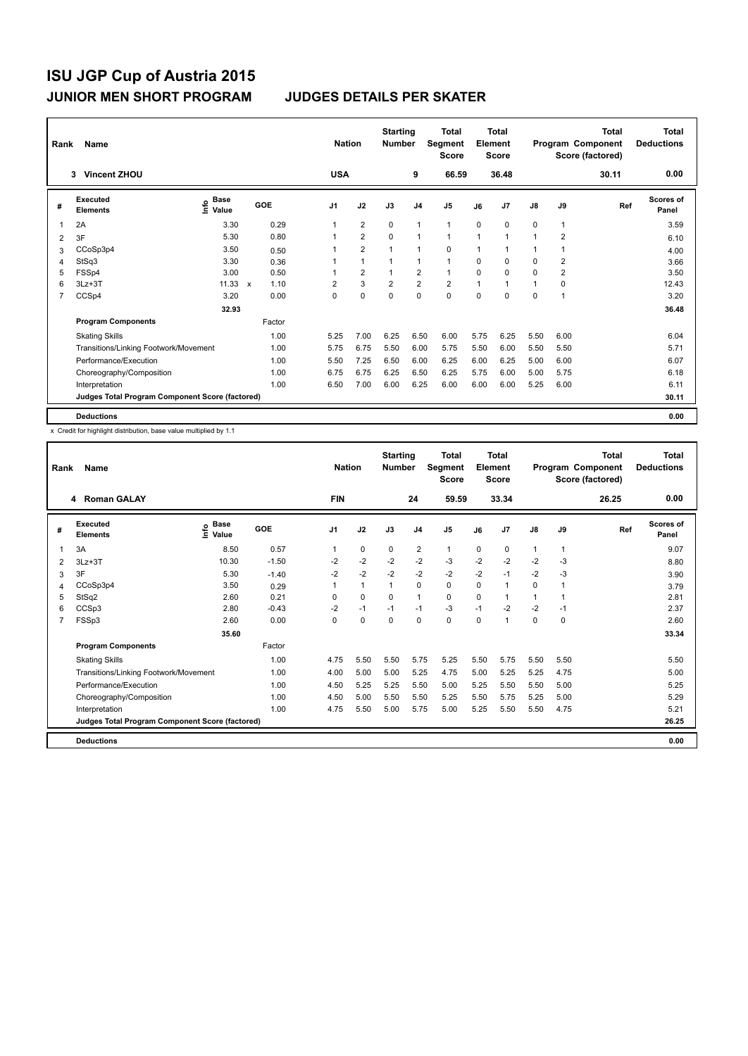| Rank           | Name                                            | <b>Nation</b>                      |                      | <b>Starting</b><br><b>Number</b> |                | <b>Total</b><br>Segment<br><b>Score</b> |                | <b>Total</b><br>Element<br><b>Score</b> |      |                | Total<br>Program Component<br>Score (factored) | <b>Total</b><br><b>Deductions</b> |       |                    |
|----------------|-------------------------------------------------|------------------------------------|----------------------|----------------------------------|----------------|-----------------------------------------|----------------|-----------------------------------------|------|----------------|------------------------------------------------|-----------------------------------|-------|--------------------|
|                | <b>Vincent ZHOU</b><br>3                        |                                    |                      | <b>USA</b>                       |                |                                         | 9              | 66.59                                   |      | 36.48          |                                                |                                   | 30.11 | 0.00               |
| #              | Executed<br><b>Elements</b>                     | <b>Base</b><br>$\frac{6}{5}$ Value | GOE                  | J <sub>1</sub>                   | J2             | J3                                      | J <sub>4</sub> | J <sub>5</sub>                          | J6   | J <sub>7</sub> | J8                                             | J9                                | Ref   | Scores of<br>Panel |
|                | 2A                                              | 3.30                               | 0.29                 |                                  | $\overline{2}$ | 0                                       | $\mathbf{1}$   | 1                                       | 0    | 0              | 0                                              | $\mathbf{1}$                      |       | 3.59               |
| 2              | 3F                                              | 5.30                               | 0.80                 |                                  | $\overline{2}$ | $\Omega$                                | $\mathbf{1}$   | 1                                       | 1    | 1              | 1                                              | 2                                 |       | 6.10               |
| 3              | CCoSp3p4                                        | 3.50                               | 0.50                 |                                  | $\overline{2}$ | 1                                       | $\mathbf{1}$   | 0                                       | 1    | 1              | 1                                              | 1                                 |       | 4.00               |
| $\overline{4}$ | StSq3                                           | 3.30                               | 0.36                 |                                  | $\mathbf{1}$   | $\mathbf{1}$                            | $\mathbf{1}$   | $\blacktriangleleft$                    | 0    | 0              | 0                                              | 2                                 |       | 3.66               |
| 5              | FSSp4                                           | 3.00                               | 0.50                 |                                  | $\overline{2}$ | $\mathbf{1}$                            | $\overline{2}$ | $\mathbf{1}$                            | 0    | $\Omega$       | $\Omega$                                       | $\overline{2}$                    |       | 3.50               |
| 6              | $3Lz + 3T$                                      | 11.33                              | 1.10<br>$\mathbf{x}$ | $\overline{2}$                   | 3              | $\overline{2}$                          | $\overline{2}$ | $\overline{2}$                          | 1    | 1              | 1                                              | 0                                 |       | 12.43              |
| 7              | CCSp4                                           | 3.20                               | 0.00                 | 0                                | $\mathbf 0$    | $\mathbf 0$                             | $\mathbf 0$    | $\mathbf 0$                             | 0    | 0              | 0                                              | 1                                 |       | 3.20               |
|                |                                                 | 32.93                              |                      |                                  |                |                                         |                |                                         |      |                |                                                |                                   |       | 36.48              |
|                | <b>Program Components</b>                       |                                    | Factor               |                                  |                |                                         |                |                                         |      |                |                                                |                                   |       |                    |
|                | <b>Skating Skills</b>                           |                                    | 1.00                 | 5.25                             | 7.00           | 6.25                                    | 6.50           | 6.00                                    | 5.75 | 6.25           | 5.50                                           | 6.00                              |       | 6.04               |
|                | Transitions/Linking Footwork/Movement           |                                    | 1.00                 | 5.75                             | 6.75           | 5.50                                    | 6.00           | 5.75                                    | 5.50 | 6.00           | 5.50                                           | 5.50                              |       | 5.71               |
|                | Performance/Execution                           |                                    | 1.00                 | 5.50                             | 7.25           | 6.50                                    | 6.00           | 6.25                                    | 6.00 | 6.25           | 5.00                                           | 6.00                              |       | 6.07               |
|                | Choreography/Composition                        |                                    | 1.00                 | 6.75                             | 6.75           | 6.25                                    | 6.50           | 6.25                                    | 5.75 | 6.00           | 5.00                                           | 5.75                              |       | 6.18               |
|                | Interpretation                                  |                                    | 1.00                 | 6.50                             | 7.00           | 6.00                                    | 6.25           | 6.00                                    | 6.00 | 6.00           | 5.25                                           | 6.00                              |       | 6.11               |
|                | Judges Total Program Component Score (factored) |                                    |                      |                                  |                |                                         |                |                                         |      |                |                                                |                                   |       | 30.11              |
|                | <b>Deductions</b>                               |                                    |                      |                                  |                |                                         |                |                                         |      |                |                                                |                                   |       | 0.00               |

| Rank | Name<br><b>Roman GALAY</b><br>4                 |                            |         | <b>Nation</b>  |              | <b>Starting</b><br><b>Number</b> |                | <b>Total</b><br>Segment<br><b>Score</b> |          | <b>Total</b><br>Element<br><b>Score</b> |                |              | <b>Total</b><br>Program Component<br>Score (factored) | <b>Total</b><br><b>Deductions</b> |
|------|-------------------------------------------------|----------------------------|---------|----------------|--------------|----------------------------------|----------------|-----------------------------------------|----------|-----------------------------------------|----------------|--------------|-------------------------------------------------------|-----------------------------------|
|      |                                                 |                            |         | <b>FIN</b>     |              |                                  | 24             | 59.59                                   |          | 33.34                                   |                |              | 26.25                                                 | 0.00                              |
| #    | Executed<br><b>Elements</b>                     | <b>Base</b><br>۴ů<br>Value | GOE     | J <sub>1</sub> | J2           | J3                               | J <sub>4</sub> | J <sub>5</sub>                          | J6       | J <sub>7</sub>                          | J8             | J9           | Ref                                                   | <b>Scores of</b><br>Panel         |
| 1    | 3A                                              | 8.50                       | 0.57    | 1              | $\Omega$     | $\Omega$                         | $\overline{2}$ | $\mathbf{1}$                            | 0        | 0                                       | $\overline{1}$ | $\mathbf{1}$ |                                                       | 9.07                              |
| 2    | $3Lz + 3T$                                      | 10.30                      | $-1.50$ | $-2$           | $-2$         | $-2$                             | $-2$           | $-3$                                    | $-2$     | $-2$                                    | $-2$           | -3           |                                                       | 8.80                              |
| 3    | 3F                                              | 5.30                       | $-1.40$ | $-2$           | $-2$         | $-2$                             | $-2$           | $-2$                                    | $-2$     | $-1$                                    | $-2$           | $-3$         |                                                       | 3.90                              |
| 4    | CCoSp3p4                                        | 3.50                       | 0.29    | 1              | $\mathbf{1}$ | $\mathbf{1}$                     | 0              | 0                                       | $\Omega$ | $\mathbf{1}$                            | 0              | 1            |                                                       | 3.79                              |
| 5    | StSq2                                           | 2.60                       | 0.21    | $\Omega$       | 0            | 0                                | 1              | 0                                       | $\Omega$ | $\overline{1}$                          | 1              |              |                                                       | 2.81                              |
| 6    | CCSp3                                           | 2.80                       | $-0.43$ | $-2$           | $-1$         | $-1$                             | $-1$           | $-3$                                    | $-1$     | $-2$                                    | $-2$           | $-1$         |                                                       | 2.37                              |
| 7    | FSSp3                                           | 2.60                       | 0.00    | $\Omega$       | 0            | 0                                | 0              | 0                                       | $\Omega$ | $\mathbf{1}$                            | 0              | $\Omega$     |                                                       | 2.60                              |
|      |                                                 | 35.60                      |         |                |              |                                  |                |                                         |          |                                         |                |              |                                                       | 33.34                             |
|      | <b>Program Components</b>                       |                            | Factor  |                |              |                                  |                |                                         |          |                                         |                |              |                                                       |                                   |
|      | <b>Skating Skills</b>                           |                            | 1.00    | 4.75           | 5.50         | 5.50                             | 5.75           | 5.25                                    | 5.50     | 5.75                                    | 5.50           | 5.50         |                                                       | 5.50                              |
|      | Transitions/Linking Footwork/Movement           |                            | 1.00    | 4.00           | 5.00         | 5.00                             | 5.25           | 4.75                                    | 5.00     | 5.25                                    | 5.25           | 4.75         |                                                       | 5.00                              |
|      | Performance/Execution                           |                            | 1.00    | 4.50           | 5.25         | 5.25                             | 5.50           | 5.00                                    | 5.25     | 5.50                                    | 5.50           | 5.00         |                                                       | 5.25                              |
|      | Choreography/Composition                        |                            | 1.00    | 4.50           | 5.00         | 5.50                             | 5.50           | 5.25                                    | 5.50     | 5.75                                    | 5.25           | 5.00         |                                                       | 5.29                              |
|      | Interpretation                                  |                            | 1.00    | 4.75           | 5.50         | 5.00                             | 5.75           | 5.00                                    | 5.25     | 5.50                                    | 5.50           | 4.75         |                                                       | 5.21                              |
|      | Judges Total Program Component Score (factored) |                            |         |                |              |                                  |                |                                         |          |                                         |                |              |                                                       | 26.25                             |
|      | <b>Deductions</b>                               |                            |         |                |              |                                  |                |                                         |          |                                         |                |              |                                                       | 0.00                              |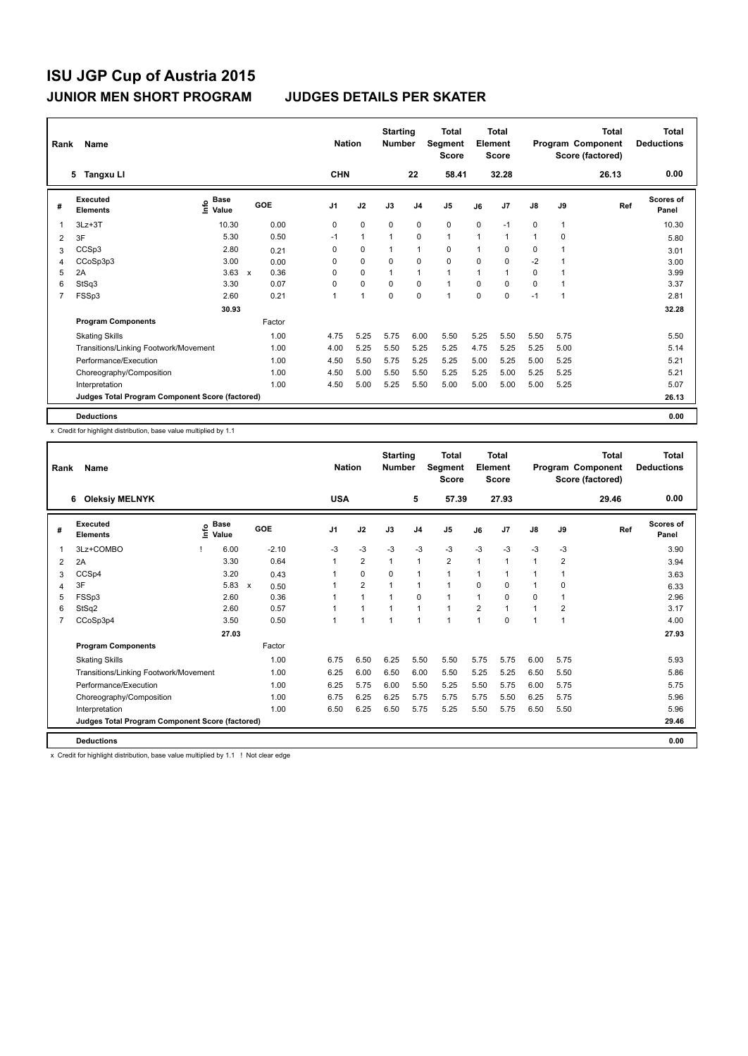| Rank           | Name                                            | <b>Nation</b>                      |                                   | <b>Starting</b><br><b>Number</b> |                | Total<br>Segment<br><b>Score</b> |                | <b>Total</b><br>Element<br><b>Score</b> |             |       | <b>Total</b><br>Program Component<br>Score (factored) | <b>Total</b><br><b>Deductions</b> |       |                           |
|----------------|-------------------------------------------------|------------------------------------|-----------------------------------|----------------------------------|----------------|----------------------------------|----------------|-----------------------------------------|-------------|-------|-------------------------------------------------------|-----------------------------------|-------|---------------------------|
|                | 5 Tangxu Ll                                     |                                    |                                   | <b>CHN</b>                       |                |                                  | 22             | 58.41                                   |             | 32.28 |                                                       |                                   | 26.13 | 0.00                      |
| #              | Executed<br><b>Elements</b>                     | <b>Base</b><br>$\frac{6}{5}$ Value | GOE                               | J <sub>1</sub>                   | J2             | J3                               | J <sub>4</sub> | J <sub>5</sub>                          | J6          | J7    | $\mathsf{J}8$                                         | J9                                | Ref   | <b>Scores of</b><br>Panel |
| $\mathbf 1$    | $3Lz + 3T$                                      | 10.30                              | 0.00                              | 0                                | $\mathbf 0$    | $\mathbf 0$                      | $\mathbf 0$    | $\mathbf 0$                             | $\mathbf 0$ | $-1$  | 0                                                     | $\mathbf{1}$                      |       | 10.30                     |
| 2              | 3F                                              | 5.30                               | 0.50                              | $-1$                             | $\mathbf{1}$   |                                  | $\mathbf 0$    | $\mathbf{1}$                            | 1           | 1     | 1                                                     | 0                                 |       | 5.80                      |
| 3              | CCSp3                                           | 2.80                               | 0.21                              | 0                                | 0              | 1                                | $\mathbf{1}$   | 0                                       | 1           | 0     | 0                                                     |                                   |       | 3.01                      |
| 4              | CCoSp3p3                                        | 3.00                               | 0.00                              | 0                                | $\mathbf 0$    | 0                                | $\mathbf 0$    | $\mathbf 0$                             | $\Omega$    | 0     | $-2$                                                  |                                   |       | 3.00                      |
| 5              | 2A                                              | 3.63                               | 0.36<br>$\boldsymbol{\mathsf{x}}$ | $\Omega$                         | $\Omega$       |                                  | $\mathbf{1}$   | $\mathbf{1}$                            |             | 1     | 0                                                     |                                   |       | 3.99                      |
| 6              | StSq3                                           | 3.30                               | 0.07                              | $\Omega$                         | $\mathbf 0$    | $\Omega$                         | $\mathbf 0$    | $\mathbf{1}$                            | $\Omega$    | 0     | 0                                                     |                                   |       | 3.37                      |
| $\overline{7}$ | FSSp3                                           | 2.60                               | 0.21                              | 1                                | $\overline{1}$ | $\Omega$                         | $\mathbf 0$    | $\mathbf{1}$                            | $\Omega$    | 0     | $-1$                                                  | 1                                 |       | 2.81                      |
|                |                                                 | 30.93                              |                                   |                                  |                |                                  |                |                                         |             |       |                                                       |                                   |       | 32.28                     |
|                | <b>Program Components</b>                       |                                    | Factor                            |                                  |                |                                  |                |                                         |             |       |                                                       |                                   |       |                           |
|                | <b>Skating Skills</b>                           |                                    | 1.00                              | 4.75                             | 5.25           | 5.75                             | 6.00           | 5.50                                    | 5.25        | 5.50  | 5.50                                                  | 5.75                              |       | 5.50                      |
|                | Transitions/Linking Footwork/Movement           |                                    | 1.00                              | 4.00                             | 5.25           | 5.50                             | 5.25           | 5.25                                    | 4.75        | 5.25  | 5.25                                                  | 5.00                              |       | 5.14                      |
|                | Performance/Execution                           |                                    | 1.00                              | 4.50                             | 5.50           | 5.75                             | 5.25           | 5.25                                    | 5.00        | 5.25  | 5.00                                                  | 5.25                              |       | 5.21                      |
|                | Choreography/Composition                        |                                    | 1.00                              | 4.50                             | 5.00           | 5.50                             | 5.50           | 5.25                                    | 5.25        | 5.00  | 5.25                                                  | 5.25                              |       | 5.21                      |
|                | Interpretation                                  |                                    | 1.00                              | 4.50                             | 5.00           | 5.25                             | 5.50           | 5.00                                    | 5.00        | 5.00  | 5.00                                                  | 5.25                              |       | 5.07                      |
|                | Judges Total Program Component Score (factored) |                                    |                                   |                                  |                |                                  |                |                                         |             |       |                                                       |                                   |       | 26.13                     |
|                | <b>Deductions</b>                               |                                    |                                   |                                  |                |                                  |                |                                         |             |       |                                                       |                                   |       | 0.00                      |

x Credit for highlight distribution, base value multiplied by 1.1

| Rank | <b>Name</b><br>6<br><b>Oleksiy MELNYK</b>       |      |                      |  |         | <b>Nation</b>  | <b>Starting</b><br><b>Number</b> |              | <b>Total</b><br>Segment<br><b>Score</b> |                | <b>Total</b><br>Element<br><b>Score</b> |                |                | <b>Total</b><br>Program Component<br>Score (factored) | <b>Total</b><br><b>Deductions</b> |                           |
|------|-------------------------------------------------|------|----------------------|--|---------|----------------|----------------------------------|--------------|-----------------------------------------|----------------|-----------------------------------------|----------------|----------------|-------------------------------------------------------|-----------------------------------|---------------------------|
|      |                                                 |      |                      |  |         | <b>USA</b>     |                                  |              | 5                                       | 57.39          |                                         | 27.93          |                |                                                       | 29.46                             | 0.00                      |
| #    | Executed<br><b>Elements</b>                     | ١rfo | <b>Base</b><br>Value |  | GOE     | J <sub>1</sub> | J2                               | J3           | J <sub>4</sub>                          | J <sub>5</sub> | J6                                      | J7             | J8             | J9                                                    | Ref                               | <b>Scores of</b><br>Panel |
| 1    | 3Lz+COMBO                                       |      | 6.00                 |  | $-2.10$ | $-3$           | $-3$                             | $-3$         | $-3$                                    | $-3$           | $-3$                                    | $-3$           | $-3$           | $-3$                                                  |                                   | 3.90                      |
| 2    | 2A                                              |      | 3.30                 |  | 0.64    | 1              | $\overline{2}$                   | $\mathbf{1}$ | $\mathbf{1}$                            | $\overline{2}$ | $\mathbf{1}$                            | $\overline{1}$ | $\overline{1}$ | $\overline{2}$                                        |                                   | 3.94                      |
| 3    | CCSp4                                           |      | 3.20                 |  | 0.43    |                | 0                                | 0            | 1                                       | $\mathbf{1}$   | 1                                       | $\overline{1}$ |                |                                                       |                                   | 3.63                      |
| 4    | 3F                                              |      | $5.83 \times$        |  | 0.50    |                | $\overline{2}$                   | 1            | 1                                       | $\mathbf{1}$   | 0                                       | 0              | 1              | 0                                                     |                                   | 6.33                      |
| 5    | FSSp3                                           |      | 2.60                 |  | 0.36    |                | $\blacktriangleleft$             | 1            | $\mathbf 0$                             | $\mathbf{1}$   | 1                                       | $\mathbf 0$    | 0              | 1                                                     |                                   | 2.96                      |
| 6    | StSq2                                           |      | 2.60                 |  | 0.57    |                |                                  | 1            | 1                                       | $\mathbf{1}$   | $\overline{2}$                          | $\overline{1}$ |                | $\overline{2}$                                        |                                   | 3.17                      |
|      | CCoSp3p4                                        |      | 3.50                 |  | 0.50    | 1              | 1                                | 1            | 1                                       | 1              | 1                                       | $\Omega$       |                | 1                                                     |                                   | 4.00                      |
|      |                                                 |      | 27.03                |  |         |                |                                  |              |                                         |                |                                         |                |                |                                                       |                                   | 27.93                     |
|      | <b>Program Components</b>                       |      |                      |  | Factor  |                |                                  |              |                                         |                |                                         |                |                |                                                       |                                   |                           |
|      | <b>Skating Skills</b>                           |      |                      |  | 1.00    | 6.75           | 6.50                             | 6.25         | 5.50                                    | 5.50           | 5.75                                    | 5.75           | 6.00           | 5.75                                                  |                                   | 5.93                      |
|      | Transitions/Linking Footwork/Movement           |      |                      |  | 1.00    | 6.25           | 6.00                             | 6.50         | 6.00                                    | 5.50           | 5.25                                    | 5.25           | 6.50           | 5.50                                                  |                                   | 5.86                      |
|      | Performance/Execution                           |      |                      |  | 1.00    | 6.25           | 5.75                             | 6.00         | 5.50                                    | 5.25           | 5.50                                    | 5.75           | 6.00           | 5.75                                                  |                                   | 5.75                      |
|      | Choreography/Composition                        |      |                      |  | 1.00    | 6.75           | 6.25                             | 6.25         | 5.75                                    | 5.75           | 5.75                                    | 5.50           | 6.25           | 5.75                                                  |                                   | 5.96                      |
|      | Interpretation                                  |      |                      |  | 1.00    | 6.50           | 6.25                             | 6.50         | 5.75                                    | 5.25           | 5.50                                    | 5.75           | 6.50           | 5.50                                                  |                                   | 5.96                      |
|      | Judges Total Program Component Score (factored) |      |                      |  |         |                |                                  |              |                                         |                |                                         |                |                |                                                       |                                   | 29.46                     |
|      | <b>Deductions</b>                               |      |                      |  |         |                |                                  |              |                                         |                |                                         |                |                |                                                       |                                   | 0.00                      |

x Credit for highlight distribution, base value multiplied by 1.1 ! Not clear edge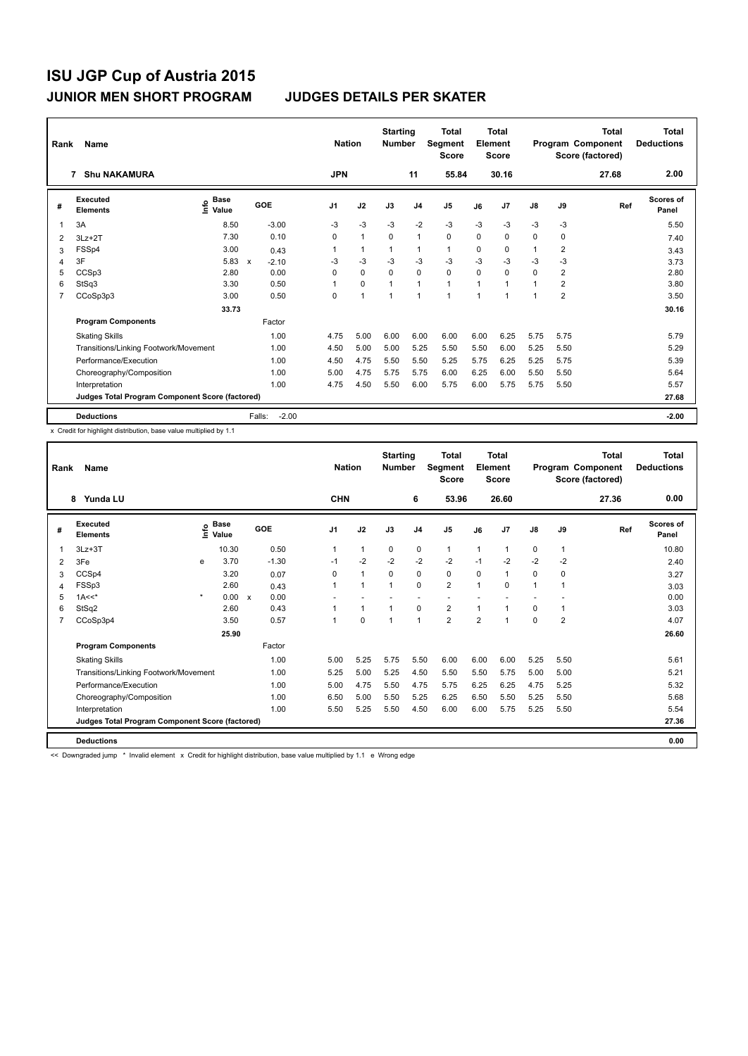| Rank | Name                                            |                                  |                           |         | <b>Nation</b>  |                | <b>Starting</b><br><b>Number</b> |                | <b>Total</b><br><b>Segment</b><br><b>Score</b> |      | <b>Total</b><br>Element<br><b>Score</b> |             |                | <b>Total</b><br>Program Component<br>Score (factored) | <b>Total</b><br><b>Deductions</b> |
|------|-------------------------------------------------|----------------------------------|---------------------------|---------|----------------|----------------|----------------------------------|----------------|------------------------------------------------|------|-----------------------------------------|-------------|----------------|-------------------------------------------------------|-----------------------------------|
|      | <b>Shu NAKAMURA</b><br>7                        |                                  |                           |         | <b>JPN</b>     |                |                                  | 11             | 55.84                                          |      | 30.16                                   |             |                | 27.68                                                 | 2.00                              |
| #    | Executed<br><b>Elements</b>                     | <b>Base</b><br>e Base<br>⊆ Value | GOE                       |         | J <sub>1</sub> | J2             | J3                               | J <sub>4</sub> | J <sub>5</sub>                                 | J6   | J <sub>7</sub>                          | J8          | J9             | Ref                                                   | Scores of<br>Panel                |
| 1    | 3A                                              | 8.50                             |                           | $-3.00$ | -3             | $-3$           | $-3$                             | $-2$           | $-3$                                           | $-3$ | $-3$                                    | $-3$        | -3             |                                                       | 5.50                              |
| 2    | $3Lz + 2T$                                      | 7.30                             |                           | 0.10    | 0              | $\mathbf{1}$   | $\Omega$                         | $\mathbf{1}$   | $\Omega$                                       | 0    | $\Omega$                                | $\Omega$    | $\Omega$       |                                                       | 7.40                              |
| 3    | FSSp4                                           | 3.00                             |                           | 0.43    |                | 1              | 1                                | 1              | 1                                              | 0    | 0                                       | 1           | $\overline{2}$ |                                                       | 3.43                              |
| 4    | 3F                                              | 5.83                             | $\boldsymbol{\mathsf{x}}$ | $-2.10$ | -3             | $-3$           | $-3$                             | $-3$           | $-3$                                           | $-3$ | $-3$                                    | $-3$        | $-3$           |                                                       | 3.73                              |
| 5    | CCSp3                                           | 2.80                             |                           | 0.00    | 0              | $\Omega$       | $\Omega$                         | $\Omega$       | $\Omega$                                       | 0    | $\Omega$                                | $\Omega$    | $\overline{2}$ |                                                       | 2.80                              |
| 6    | StSq3                                           | 3.30                             |                           | 0.50    |                | $\mathbf 0$    | 1                                | $\mathbf{1}$   | $\mathbf{1}$                                   | 1    | 1                                       | $\mathbf 1$ | $\overline{2}$ |                                                       | 3.80                              |
| 7    | CCoSp3p3                                        | 3.00                             |                           | 0.50    | 0              | $\overline{1}$ | 1                                | 1              | $\overline{1}$                                 | 1    | 1                                       | 1           | $\overline{2}$ |                                                       | 3.50                              |
|      |                                                 | 33.73                            |                           |         |                |                |                                  |                |                                                |      |                                         |             |                |                                                       | 30.16                             |
|      | <b>Program Components</b>                       |                                  |                           | Factor  |                |                |                                  |                |                                                |      |                                         |             |                |                                                       |                                   |
|      | <b>Skating Skills</b>                           |                                  |                           | 1.00    | 4.75           | 5.00           | 6.00                             | 6.00           | 6.00                                           | 6.00 | 6.25                                    | 5.75        | 5.75           |                                                       | 5.79                              |
|      | Transitions/Linking Footwork/Movement           |                                  |                           | 1.00    | 4.50           | 5.00           | 5.00                             | 5.25           | 5.50                                           | 5.50 | 6.00                                    | 5.25        | 5.50           |                                                       | 5.29                              |
|      | Performance/Execution                           |                                  |                           | 1.00    | 4.50           | 4.75           | 5.50                             | 5.50           | 5.25                                           | 5.75 | 6.25                                    | 5.25        | 5.75           |                                                       | 5.39                              |
|      | Choreography/Composition                        |                                  |                           | 1.00    | 5.00           | 4.75           | 5.75                             | 5.75           | 6.00                                           | 6.25 | 6.00                                    | 5.50        | 5.50           |                                                       | 5.64                              |
|      | Interpretation                                  |                                  |                           | 1.00    | 4.75           | 4.50           | 5.50                             | 6.00           | 5.75                                           | 6.00 | 5.75                                    | 5.75        | 5.50           |                                                       | 5.57                              |
|      | Judges Total Program Component Score (factored) |                                  |                           |         |                |                |                                  |                |                                                |      |                                         |             |                |                                                       | 27.68                             |
|      | <b>Deductions</b>                               |                                  | Falls:                    | $-2.00$ |                |                |                                  |                |                                                |      |                                         |             |                |                                                       | $-2.00$                           |

x Credit for highlight distribution, base value multiplied by 1.1

| Rank | Name<br>Yunda LU<br>8                           |         |                    |  |            | <b>Nation</b> | <b>Starting</b><br><b>Number</b> |      | <b>Total</b><br>Segment<br><b>Score</b> |                | <b>Total</b><br>Element<br><b>Score</b> |                |               | <b>Total</b><br>Program Component<br>Score (factored) | <b>Total</b><br><b>Deductions</b> |                           |
|------|-------------------------------------------------|---------|--------------------|--|------------|---------------|----------------------------------|------|-----------------------------------------|----------------|-----------------------------------------|----------------|---------------|-------------------------------------------------------|-----------------------------------|---------------------------|
|      |                                                 |         |                    |  |            | <b>CHN</b>    |                                  |      | 6                                       | 53.96          |                                         | 26.60          |               |                                                       | 27.36                             | 0.00                      |
| #    | Executed<br><b>Elements</b>                     |         | $\frac{6}{5}$ Base |  | <b>GOE</b> | J1            | J2                               | J3   | J <sub>4</sub>                          | J5             | J6                                      | J <sub>7</sub> | $\mathsf{J}8$ | J9                                                    | Ref                               | <b>Scores of</b><br>Panel |
| 1    | $3Lz + 3T$                                      |         | 10.30              |  | 0.50       | 1             | $\mathbf{1}$                     | 0    | 0                                       | $\mathbf{1}$   | 1                                       | 1              | 0             | $\mathbf{1}$                                          |                                   | 10.80                     |
| 2    | 3Fe                                             | e       | 3.70               |  | $-1.30$    | $-1$          | $-2$                             | $-2$ | $-2$                                    | $-2$           | $-1$                                    | $-2$           | $-2$          | $-2$                                                  |                                   | 2.40                      |
| 3    | CCSp4                                           |         | 3.20               |  | 0.07       | 0             | $\mathbf{1}$                     | 0    | 0                                       | 0              | 0                                       | 1              | 0             | 0                                                     |                                   | 3.27                      |
| 4    | FSSp3                                           |         | 2.60               |  | 0.43       |               | $\mathbf{1}$                     | 1    | $\Omega$                                | $\overline{2}$ | 1                                       | $\Omega$       | $\mathbf{1}$  | 1                                                     |                                   | 3.03                      |
| 5    | $1A<<$ *                                        | $\star$ | 0.00 x             |  | 0.00       |               |                                  |      |                                         |                |                                         |                |               |                                                       |                                   | 0.00                      |
| 6    | StSq2                                           |         | 2.60               |  | 0.43       |               | $\mathbf{1}$                     | 1    | 0                                       | $\overline{2}$ | 1                                       | 1              | 0             | 1                                                     |                                   | 3.03                      |
| 7    | CCoSp3p4                                        |         | 3.50               |  | 0.57       |               | $\Omega$                         |      | $\overline{1}$                          | $\overline{2}$ | $\overline{2}$                          | 1              | $\Omega$      | $\overline{2}$                                        |                                   | 4.07                      |
|      |                                                 |         | 25.90              |  |            |               |                                  |      |                                         |                |                                         |                |               |                                                       |                                   | 26.60                     |
|      | <b>Program Components</b>                       |         |                    |  | Factor     |               |                                  |      |                                         |                |                                         |                |               |                                                       |                                   |                           |
|      | <b>Skating Skills</b>                           |         |                    |  | 1.00       | 5.00          | 5.25                             | 5.75 | 5.50                                    | 6.00           | 6.00                                    | 6.00           | 5.25          | 5.50                                                  |                                   | 5.61                      |
|      | Transitions/Linking Footwork/Movement           |         |                    |  | 1.00       | 5.25          | 5.00                             | 5.25 | 4.50                                    | 5.50           | 5.50                                    | 5.75           | 5.00          | 5.00                                                  |                                   | 5.21                      |
|      | Performance/Execution                           |         |                    |  | 1.00       | 5.00          | 4.75                             | 5.50 | 4.75                                    | 5.75           | 6.25                                    | 6.25           | 4.75          | 5.25                                                  |                                   | 5.32                      |
|      | Choreography/Composition                        |         |                    |  | 1.00       | 6.50          | 5.00                             | 5.50 | 5.25                                    | 6.25           | 6.50                                    | 5.50           | 5.25          | 5.50                                                  |                                   | 5.68                      |
|      | Interpretation                                  |         |                    |  | 1.00       | 5.50          | 5.25                             | 5.50 | 4.50                                    | 6.00           | 6.00                                    | 5.75           | 5.25          | 5.50                                                  |                                   | 5.54                      |
|      | Judges Total Program Component Score (factored) |         |                    |  |            |               |                                  |      |                                         |                |                                         |                |               |                                                       |                                   | 27.36                     |
|      | <b>Deductions</b>                               |         |                    |  |            |               |                                  |      |                                         |                |                                         |                |               |                                                       |                                   | 0.00                      |

<< Downgraded jump \* Invalid element x Credit for highlight distribution, base value multiplied by 1.1 e Wrong edge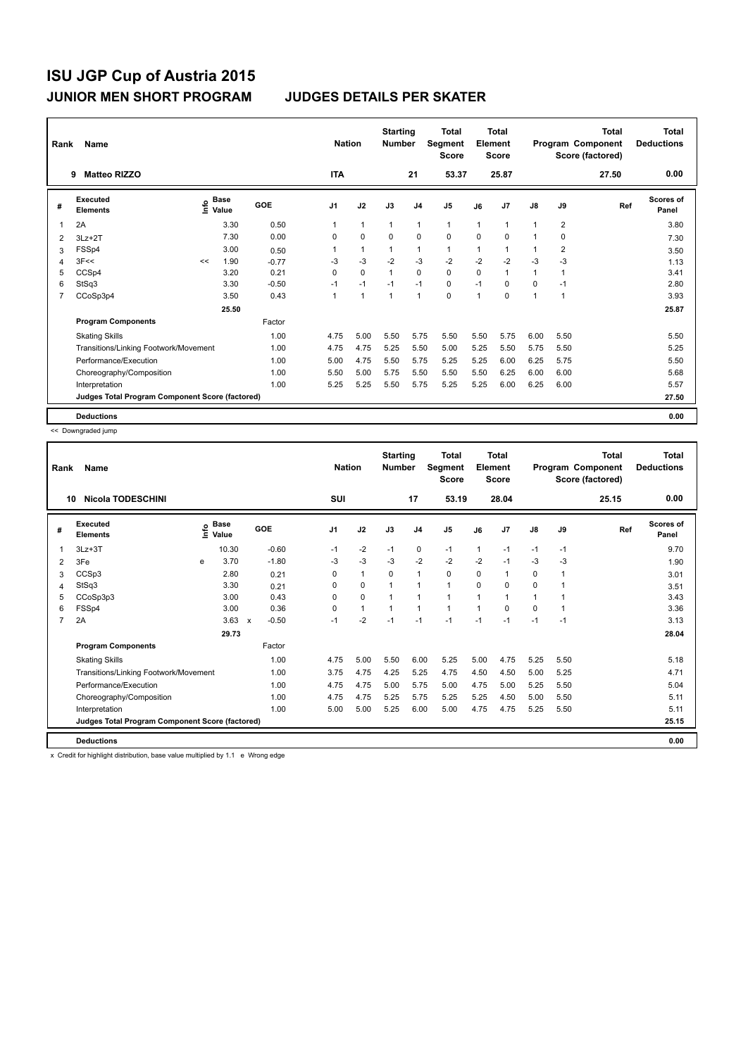| Rank           | Name                                            |    | <b>Nation</b>                      |         | <b>Starting</b><br><b>Number</b> |              | <b>Total</b><br>Segment<br><b>Score</b> |                | <b>Total</b><br>Element<br><b>Score</b> |      |                | Total<br>Program Component<br>Score (factored) | <b>Total</b><br><b>Deductions</b> |       |                    |
|----------------|-------------------------------------------------|----|------------------------------------|---------|----------------------------------|--------------|-----------------------------------------|----------------|-----------------------------------------|------|----------------|------------------------------------------------|-----------------------------------|-------|--------------------|
|                | <b>Matteo RIZZO</b><br>9                        |    |                                    |         | <b>ITA</b>                       |              |                                         | 21             | 53.37                                   |      | 25.87          |                                                |                                   | 27.50 | 0.00               |
| #              | Executed<br><b>Elements</b>                     |    | <b>Base</b><br>$\frac{6}{5}$ Value | GOE     | J <sub>1</sub>                   | J2           | J3                                      | J <sub>4</sub> | J <sub>5</sub>                          | J6   | J <sub>7</sub> | J8                                             | J9                                | Ref   | Scores of<br>Panel |
| 1              | 2A                                              |    | 3.30                               | 0.50    |                                  | $\mathbf{1}$ | $\mathbf{1}$                            | $\mathbf{1}$   | $\mathbf{1}$                            | 1    | 1              | $\mathbf{1}$                                   | 2                                 |       | 3.80               |
| 2              | $3Lz + 2T$                                      |    | 7.30                               | 0.00    | 0                                | $\mathbf 0$  | $\Omega$                                | $\mathbf 0$    | 0                                       | 0    | 0              | 1                                              | 0                                 |       | 7.30               |
| 3              | FSSp4                                           |    | 3.00                               | 0.50    |                                  | 1            | 1                                       | $\mathbf{1}$   | 1                                       | 1    | 1              | 1                                              | $\overline{2}$                    |       | 3.50               |
| 4              | 3F<<                                            | << | 1.90                               | $-0.77$ | -3                               | $-3$         | $-2$                                    | $-3$           | $-2$                                    | $-2$ | $-2$           | $-3$                                           | $-3$                              |       | 1.13               |
| 5              | CCSp4                                           |    | 3.20                               | 0.21    | 0                                | $\Omega$     | $\mathbf{1}$                            | $\Omega$       | $\Omega$                                | 0    | $\mathbf{1}$   | $\mathbf{1}$                                   | 1                                 |       | 3.41               |
| 6              | StSq3                                           |    | 3.30                               | $-0.50$ | $-1$                             | $-1$         | $-1$                                    | $-1$           | 0                                       | $-1$ | $\Omega$       | 0                                              | $-1$                              |       | 2.80               |
| $\overline{7}$ | CCoSp3p4                                        |    | 3.50                               | 0.43    |                                  | $\mathbf{1}$ | $\mathbf{1}$                            | $\mathbf{1}$   | $\mathbf 0$                             | 1    | 0              | $\mathbf{1}$                                   | 1                                 |       | 3.93               |
|                |                                                 |    | 25.50                              |         |                                  |              |                                         |                |                                         |      |                |                                                |                                   |       | 25.87              |
|                | <b>Program Components</b>                       |    |                                    | Factor  |                                  |              |                                         |                |                                         |      |                |                                                |                                   |       |                    |
|                | <b>Skating Skills</b>                           |    |                                    | 1.00    | 4.75                             | 5.00         | 5.50                                    | 5.75           | 5.50                                    | 5.50 | 5.75           | 6.00                                           | 5.50                              |       | 5.50               |
|                | Transitions/Linking Footwork/Movement           |    |                                    | 1.00    | 4.75                             | 4.75         | 5.25                                    | 5.50           | 5.00                                    | 5.25 | 5.50           | 5.75                                           | 5.50                              |       | 5.25               |
|                | Performance/Execution                           |    |                                    | 1.00    | 5.00                             | 4.75         | 5.50                                    | 5.75           | 5.25                                    | 5.25 | 6.00           | 6.25                                           | 5.75                              |       | 5.50               |
|                | Choreography/Composition                        |    |                                    | 1.00    | 5.50                             | 5.00         | 5.75                                    | 5.50           | 5.50                                    | 5.50 | 6.25           | 6.00                                           | 6.00                              |       | 5.68               |
|                | Interpretation                                  |    |                                    | 1.00    | 5.25                             | 5.25         | 5.50                                    | 5.75           | 5.25                                    | 5.25 | 6.00           | 6.25                                           | 6.00                              |       | 5.57               |
|                | Judges Total Program Component Score (factored) |    |                                    |         |                                  |              |                                         |                |                                         |      |                |                                                |                                   |       | 27.50              |
|                | <b>Deductions</b>                               |    |                                    |         |                                  |              |                                         |                |                                         |      |                |                                                |                                   |       | 0.00               |

<< Downgraded jump

| Rank | Name<br><b>Nicola TODESCHINI</b><br>10          |    |                      |              |         | <b>Nation</b> |              | <b>Starting</b><br><b>Number</b> |                | Total<br>Segment<br><b>Score</b> |      | Total<br>Element<br><b>Score</b> |               |      | <b>Total</b><br>Program Component<br>Score (factored) | <b>Total</b><br><b>Deductions</b> |
|------|-------------------------------------------------|----|----------------------|--------------|---------|---------------|--------------|----------------------------------|----------------|----------------------------------|------|----------------------------------|---------------|------|-------------------------------------------------------|-----------------------------------|
|      |                                                 |    |                      |              |         | SUI           |              |                                  | 17             | 53.19                            |      | 28.04                            |               |      | 25.15                                                 | 0.00                              |
| #    | Executed<br><b>Elements</b>                     | ۴٥ | <b>Base</b><br>Value |              | GOE     | J1            | J2           | J3                               | J <sub>4</sub> | J <sub>5</sub>                   | J6   | J <sub>7</sub>                   | $\mathsf{J}8$ | J9   | Ref                                                   | <b>Scores of</b><br>Panel         |
| 1    | $3Lz + 3T$                                      |    | 10.30                |              | $-0.60$ | $-1$          | $-2$         | $-1$                             | $\mathbf 0$    | $-1$                             | 1    | $-1$                             | $-1$          | $-1$ |                                                       | 9.70                              |
| 2    | 3Fe                                             | e  | 3.70                 |              | $-1.80$ | $-3$          | $-3$         | $-3$                             | $-2$           | $-2$                             | $-2$ | $-1$                             | $-3$          | $-3$ |                                                       | 1.90                              |
| 3    | CCSp3                                           |    | 2.80                 |              | 0.21    | 0             | $\mathbf{1}$ | $\Omega$                         | 1              | 0                                | 0    | 1                                | 0             | 1    |                                                       | 3.01                              |
| 4    | StSq3                                           |    | 3.30                 |              | 0.21    | 0             | 0            |                                  | 1              | 1                                | 0    | $\Omega$                         | $\Omega$      | 1    |                                                       | 3.51                              |
| 5    | CCoSp3p3                                        |    | 3.00                 |              | 0.43    | 0             | $\mathbf 0$  |                                  | 1              | 1                                | 1    | 1                                | 1             |      |                                                       | 3.43                              |
| 6    | FSSp4                                           |    | 3.00                 |              | 0.36    | $\Omega$      | $\mathbf{1}$ |                                  | 1              | 1                                | 1    | 0                                | $\Omega$      |      |                                                       | 3.36                              |
| 7    | 2A                                              |    | 3.63                 | $\mathsf{x}$ | $-0.50$ | $-1$          | $-2$         | $-1$                             | $-1$           | $-1$                             | $-1$ | $-1$                             | $-1$          | $-1$ |                                                       | 3.13                              |
|      |                                                 |    | 29.73                |              |         |               |              |                                  |                |                                  |      |                                  |               |      |                                                       | 28.04                             |
|      | <b>Program Components</b>                       |    |                      |              | Factor  |               |              |                                  |                |                                  |      |                                  |               |      |                                                       |                                   |
|      | <b>Skating Skills</b>                           |    |                      |              | 1.00    | 4.75          | 5.00         | 5.50                             | 6.00           | 5.25                             | 5.00 | 4.75                             | 5.25          | 5.50 |                                                       | 5.18                              |
|      | Transitions/Linking Footwork/Movement           |    |                      |              | 1.00    | 3.75          | 4.75         | 4.25                             | 5.25           | 4.75                             | 4.50 | 4.50                             | 5.00          | 5.25 |                                                       | 4.71                              |
|      | Performance/Execution                           |    |                      |              | 1.00    | 4.75          | 4.75         | 5.00                             | 5.75           | 5.00                             | 4.75 | 5.00                             | 5.25          | 5.50 |                                                       | 5.04                              |
|      | Choreography/Composition                        |    |                      |              | 1.00    | 4.75          | 4.75         | 5.25                             | 5.75           | 5.25                             | 5.25 | 4.50                             | 5.00          | 5.50 |                                                       | 5.11                              |
|      | Interpretation                                  |    |                      |              | 1.00    | 5.00          | 5.00         | 5.25                             | 6.00           | 5.00                             | 4.75 | 4.75                             | 5.25          | 5.50 |                                                       | 5.11                              |
|      | Judges Total Program Component Score (factored) |    |                      |              |         |               |              |                                  |                |                                  |      |                                  |               |      |                                                       | 25.15                             |
|      | <b>Deductions</b>                               |    |                      |              |         |               |              |                                  |                |                                  |      |                                  |               |      |                                                       | 0.00                              |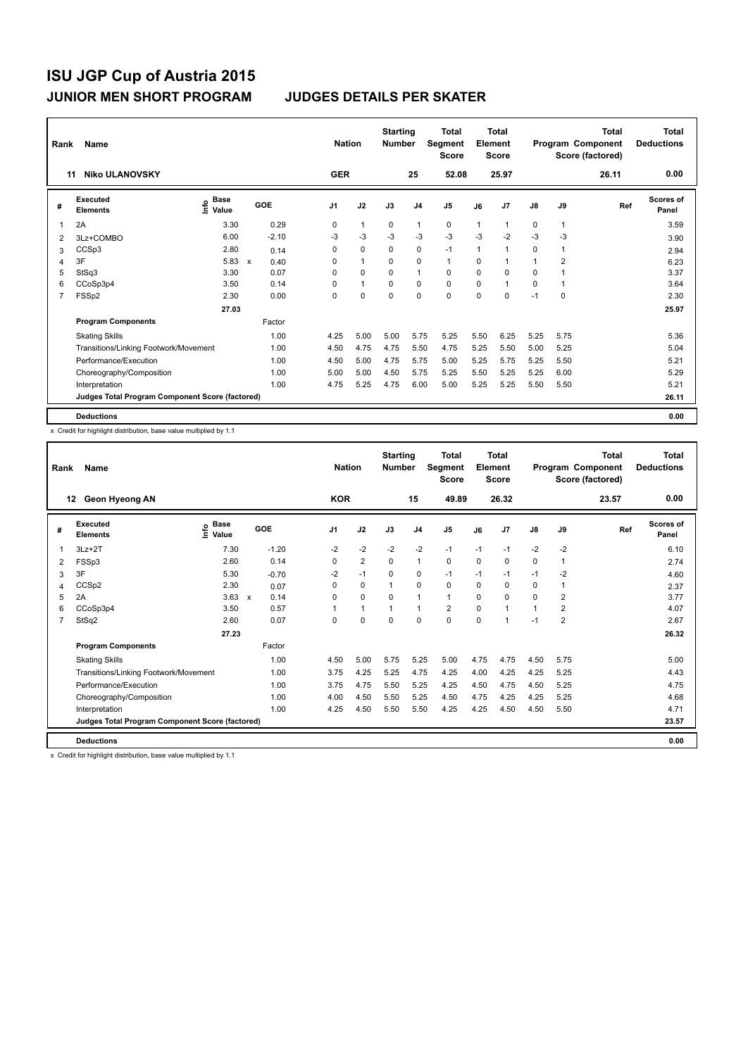| Rank | Name                                            |                                    |                                   | <b>Nation</b>  |              | <b>Starting</b><br><b>Number</b> |                | <b>Total</b><br>Segment<br><b>Score</b> |      | <b>Total</b><br>Element<br><b>Score</b> |               |                | Total<br>Program Component<br>Score (factored) | <b>Total</b><br><b>Deductions</b> |
|------|-------------------------------------------------|------------------------------------|-----------------------------------|----------------|--------------|----------------------------------|----------------|-----------------------------------------|------|-----------------------------------------|---------------|----------------|------------------------------------------------|-----------------------------------|
| 11   | <b>Niko ULANOVSKY</b>                           |                                    |                                   | <b>GER</b>     |              |                                  | 25             | 52.08                                   |      | 25.97                                   |               |                | 26.11                                          | 0.00                              |
| #    | Executed<br><b>Elements</b>                     | <b>Base</b><br>$\frac{6}{5}$ Value | GOE                               | J <sub>1</sub> | J2           | J3                               | J <sub>4</sub> | J <sub>5</sub>                          | J6   | J7                                      | $\mathsf{J}8$ | J9             | Ref                                            | Scores of<br>Panel                |
| 1    | 2A                                              | 3.30                               | 0.29                              | 0              | $\mathbf{1}$ | 0                                | 1              | 0                                       | 1    | 1                                       | 0             | 1              |                                                | 3.59                              |
| 2    | 3Lz+COMBO                                       | 6.00                               | $-2.10$                           | -3             | $-3$         | $-3$                             | $-3$           | $-3$                                    | $-3$ | $-2$                                    | $-3$          | -3             |                                                | 3.90                              |
| 3    | CCSp3                                           | 2.80                               | 0.14                              | 0              | $\mathbf 0$  | 0                                | 0              | $-1$                                    | 1    | 1                                       | 0             | $\mathbf{1}$   |                                                | 2.94                              |
| 4    | 3F                                              | 5.83                               | $\boldsymbol{\mathsf{x}}$<br>0.40 | 0              | $\mathbf{1}$ | $\Omega$                         | 0              | $\mathbf{1}$                            | 0    | 1                                       | 1             | $\overline{2}$ |                                                | 6.23                              |
| 5    | StSq3                                           | 3.30                               | 0.07                              | 0              | $\Omega$     | $\Omega$                         | $\mathbf{1}$   | $\Omega$                                | 0    | $\Omega$                                | $\Omega$      | 1              |                                                | 3.37                              |
| 6    | CCoSp3p4                                        | 3.50                               | 0.14                              | 0              | $\mathbf{1}$ | $\Omega$                         | $\mathbf 0$    | $\mathbf 0$                             | 0    | 1                                       | 0             | 1              |                                                | 3.64                              |
| 7    | FSSp2                                           | 2.30                               | 0.00                              | 0              | $\mathbf 0$  | $\mathbf 0$                      | $\mathbf 0$    | $\mathbf 0$                             | 0    | 0                                       | $-1$          | $\mathbf 0$    |                                                | 2.30                              |
|      |                                                 | 27.03                              |                                   |                |              |                                  |                |                                         |      |                                         |               |                |                                                | 25.97                             |
|      | <b>Program Components</b>                       |                                    | Factor                            |                |              |                                  |                |                                         |      |                                         |               |                |                                                |                                   |
|      | <b>Skating Skills</b>                           |                                    | 1.00                              | 4.25           | 5.00         | 5.00                             | 5.75           | 5.25                                    | 5.50 | 6.25                                    | 5.25          | 5.75           |                                                | 5.36                              |
|      | Transitions/Linking Footwork/Movement           |                                    | 1.00                              | 4.50           | 4.75         | 4.75                             | 5.50           | 4.75                                    | 5.25 | 5.50                                    | 5.00          | 5.25           |                                                | 5.04                              |
|      | Performance/Execution                           |                                    | 1.00                              | 4.50           | 5.00         | 4.75                             | 5.75           | 5.00                                    | 5.25 | 5.75                                    | 5.25          | 5.50           |                                                | 5.21                              |
|      | Choreography/Composition                        |                                    | 1.00                              | 5.00           | 5.00         | 4.50                             | 5.75           | 5.25                                    | 5.50 | 5.25                                    | 5.25          | 6.00           |                                                | 5.29                              |
|      | Interpretation                                  |                                    | 1.00                              | 4.75           | 5.25         | 4.75                             | 6.00           | 5.00                                    | 5.25 | 5.25                                    | 5.50          | 5.50           |                                                | 5.21                              |
|      | Judges Total Program Component Score (factored) |                                    |                                   |                |              |                                  |                |                                         |      |                                         |               |                |                                                | 26.11                             |
|      | <b>Deductions</b>                               |                                    |                                   |                |              |                                  |                |                                         |      |                                         |               |                |                                                | 0.00                              |

x Credit for highlight distribution, base value multiplied by 1.1

| Rank           | <b>Name</b>                                     | <b>Nation</b>                |         | <b>Starting</b><br><b>Number</b> |                | <b>Total</b><br>Segment<br><b>Score</b> |                | <b>Total</b><br>Element<br><b>Score</b> |          |                | <b>Total</b><br>Program Component<br>Score (factored) | <b>Total</b><br><b>Deductions</b> |       |                           |
|----------------|-------------------------------------------------|------------------------------|---------|----------------------------------|----------------|-----------------------------------------|----------------|-----------------------------------------|----------|----------------|-------------------------------------------------------|-----------------------------------|-------|---------------------------|
|                | Geon Hyeong AN<br>12                            |                              |         | <b>KOR</b>                       |                |                                         | 15             | 49.89                                   |          | 26.32          |                                                       |                                   | 23.57 | 0.00                      |
| #              | Executed<br><b>Elements</b>                     | <b>Base</b><br>١rfo<br>Value | GOE     | J <sub>1</sub>                   | J2             | J3                                      | J <sub>4</sub> | J <sub>5</sub>                          | J6       | J <sub>7</sub> | J8                                                    | J9                                | Ref   | <b>Scores of</b><br>Panel |
| 1              | $3Lz + 2T$                                      | 7.30                         | $-1.20$ | $-2$                             | $-2$           | $-2$                                    | $-2$           | $-1$                                    | $-1$     | $-1$           | $-2$                                                  | $-2$                              |       | 6.10                      |
| 2              | FSSp3                                           | 2.60                         | 0.14    | $\Omega$                         | $\overline{2}$ | $\Omega$                                | 1              | 0                                       | $\Omega$ | $\Omega$       | $\Omega$                                              | $\mathbf{1}$                      |       | 2.74                      |
| 3              | 3F                                              | 5.30                         | $-0.70$ | $-2$                             | $-1$           | 0                                       | 0              | $-1$                                    | $-1$     | $-1$           | $-1$                                                  | $-2$                              |       | 4.60                      |
| 4              | CCSp2                                           | 2.30                         | 0.07    | $\Omega$                         | 0              | 1                                       | 0              | 0                                       | 0        | 0              | $\Omega$                                              | $\mathbf{1}$                      |       | 2.37                      |
| 5              | 2A                                              | $3.63 \times$                | 0.14    | $\Omega$                         | 0              | 0                                       | 1              | $\mathbf{1}$                            | $\Omega$ | $\mathbf 0$    | $\Omega$                                              | $\overline{2}$                    |       | 3.77                      |
| 6              | CCoSp3p4                                        | 3.50                         | 0.57    |                                  | 1              | 1                                       | 1              | $\overline{2}$                          | $\Omega$ | $\overline{1}$ | 4                                                     | $\overline{2}$                    |       | 4.07                      |
| $\overline{7}$ | StSq2                                           | 2.60                         | 0.07    | $\Omega$                         | $\Omega$       | 0                                       | 0              | 0                                       | $\Omega$ | -1             | $-1$                                                  | $\overline{2}$                    |       | 2.67                      |
|                |                                                 | 27.23                        |         |                                  |                |                                         |                |                                         |          |                |                                                       |                                   |       | 26.32                     |
|                | <b>Program Components</b>                       |                              | Factor  |                                  |                |                                         |                |                                         |          |                |                                                       |                                   |       |                           |
|                | <b>Skating Skills</b>                           |                              | 1.00    | 4.50                             | 5.00           | 5.75                                    | 5.25           | 5.00                                    | 4.75     | 4.75           | 4.50                                                  | 5.75                              |       | 5.00                      |
|                | Transitions/Linking Footwork/Movement           |                              | 1.00    | 3.75                             | 4.25           | 5.25                                    | 4.75           | 4.25                                    | 4.00     | 4.25           | 4.25                                                  | 5.25                              |       | 4.43                      |
|                | Performance/Execution                           |                              | 1.00    | 3.75                             | 4.75           | 5.50                                    | 5.25           | 4.25                                    | 4.50     | 4.75           | 4.50                                                  | 5.25                              |       | 4.75                      |
|                | Choreography/Composition                        |                              | 1.00    | 4.00                             | 4.50           | 5.50                                    | 5.25           | 4.50                                    | 4.75     | 4.25           | 4.25                                                  | 5.25                              |       | 4.68                      |
|                | Interpretation                                  |                              | 1.00    | 4.25                             | 4.50           | 5.50                                    | 5.50           | 4.25                                    | 4.25     | 4.50           | 4.50                                                  | 5.50                              |       | 4.71                      |
|                | Judges Total Program Component Score (factored) |                              |         |                                  |                |                                         |                |                                         |          |                |                                                       |                                   |       | 23.57                     |
|                | <b>Deductions</b>                               |                              |         |                                  |                |                                         |                |                                         |          |                |                                                       |                                   |       | 0.00                      |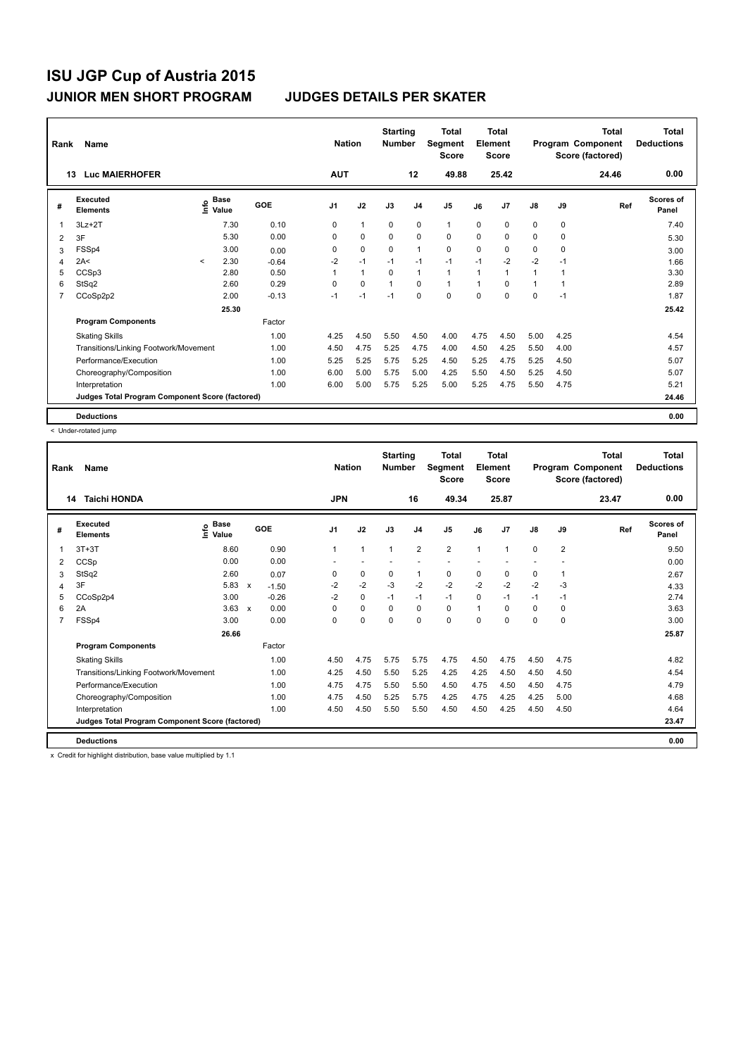| Rank | Name                                            |         |                                    |         | <b>Nation</b>  |              | <b>Starting</b><br><b>Number</b> |                | <b>Total</b><br>Segment<br><b>Score</b> |          | <b>Total</b><br>Element<br><b>Score</b> |               |      | <b>Total</b><br>Program Component<br>Score (factored) | <b>Total</b><br><b>Deductions</b> |
|------|-------------------------------------------------|---------|------------------------------------|---------|----------------|--------------|----------------------------------|----------------|-----------------------------------------|----------|-----------------------------------------|---------------|------|-------------------------------------------------------|-----------------------------------|
|      | <b>Luc MAIERHOFER</b><br>13                     |         |                                    |         | <b>AUT</b>     |              |                                  | 12             | 49.88                                   |          | 25.42                                   |               |      | 24.46                                                 | 0.00                              |
| #    | Executed<br><b>Elements</b>                     |         | <b>Base</b><br>$\frac{6}{5}$ Value | GOE     | J <sub>1</sub> | J2           | J3                               | J <sub>4</sub> | J <sub>5</sub>                          | J6       | J7                                      | $\mathsf{J}8$ | J9   | Ref                                                   | Scores of<br>Panel                |
| 1    | $3Lz + 2T$                                      |         | 7.30                               | 0.10    | 0              | $\mathbf{1}$ | 0                                | 0              | $\mathbf{1}$                            | $\Omega$ | 0                                       | 0             | 0    |                                                       | 7.40                              |
| 2    | 3F                                              |         | 5.30                               | 0.00    | 0              | 0            | $\Omega$                         | 0              | 0                                       | 0        | 0                                       | 0             | 0    |                                                       | 5.30                              |
| 3    | FSSp4                                           |         | 3.00                               | 0.00    | 0              | $\mathbf 0$  | 0                                | $\mathbf{1}$   | $\mathbf 0$                             | 0        | 0                                       | 0             | 0    |                                                       | 3.00                              |
| 4    | 2A<                                             | $\prec$ | 2.30                               | $-0.64$ | $-2$           | $-1$         | $-1$                             | $-1$           | $-1$                                    | $-1$     | $-2$                                    | $-2$          | $-1$ |                                                       | 1.66                              |
| 5    | CCSp3                                           |         | 2.80                               | 0.50    |                | $\mathbf{1}$ | $\Omega$                         | $\mathbf{1}$   | $\mathbf{1}$                            | 1        | 1                                       | 1             | 1    |                                                       | 3.30                              |
| 6    | StSq2                                           |         | 2.60                               | 0.29    | 0              | $\mathbf 0$  | $\mathbf{1}$                     | $\Omega$       | $\mathbf{1}$                            | 1        | $\Omega$                                | $\mathbf{1}$  | 1    |                                                       | 2.89                              |
| 7    | CCoSp2p2                                        |         | 2.00                               | $-0.13$ | $-1$           | $-1$         | $-1$                             | $\mathbf 0$    | $\mathbf 0$                             | 0        | 0                                       | 0             | $-1$ |                                                       | 1.87                              |
|      |                                                 |         | 25.30                              |         |                |              |                                  |                |                                         |          |                                         |               |      |                                                       | 25.42                             |
|      | <b>Program Components</b>                       |         |                                    | Factor  |                |              |                                  |                |                                         |          |                                         |               |      |                                                       |                                   |
|      | <b>Skating Skills</b>                           |         |                                    | 1.00    | 4.25           | 4.50         | 5.50                             | 4.50           | 4.00                                    | 4.75     | 4.50                                    | 5.00          | 4.25 |                                                       | 4.54                              |
|      | Transitions/Linking Footwork/Movement           |         |                                    | 1.00    | 4.50           | 4.75         | 5.25                             | 4.75           | 4.00                                    | 4.50     | 4.25                                    | 5.50          | 4.00 |                                                       | 4.57                              |
|      | Performance/Execution                           |         |                                    | 1.00    | 5.25           | 5.25         | 5.75                             | 5.25           | 4.50                                    | 5.25     | 4.75                                    | 5.25          | 4.50 |                                                       | 5.07                              |
|      | Choreography/Composition                        |         |                                    | 1.00    | 6.00           | 5.00         | 5.75                             | 5.00           | 4.25                                    | 5.50     | 4.50                                    | 5.25          | 4.50 |                                                       | 5.07                              |
|      | Interpretation                                  |         |                                    | 1.00    | 6.00           | 5.00         | 5.75                             | 5.25           | 5.00                                    | 5.25     | 4.75                                    | 5.50          | 4.75 |                                                       | 5.21                              |
|      | Judges Total Program Component Score (factored) |         |                                    |         |                |              |                                  |                |                                         |          |                                         |               |      |                                                       | 24.46                             |
|      | <b>Deductions</b>                               |         |                                    |         |                |              |                                  |                |                                         |          |                                         |               |      |                                                       | 0.00                              |

< Under-rotated jump

| Rank | <b>Name</b>                                     |                              |                           |         | <b>Nation</b>  |              | <b>Starting</b><br><b>Number</b> |                | <b>Total</b><br>Segment<br><b>Score</b> |          | <b>Total</b><br>Element<br><b>Score</b> |               |                | <b>Total</b><br>Program Component<br>Score (factored) | <b>Total</b><br><b>Deductions</b> |
|------|-------------------------------------------------|------------------------------|---------------------------|---------|----------------|--------------|----------------------------------|----------------|-----------------------------------------|----------|-----------------------------------------|---------------|----------------|-------------------------------------------------------|-----------------------------------|
| 14   | <b>Taichi HONDA</b>                             |                              |                           |         | <b>JPN</b>     |              |                                  | 16             | 49.34                                   |          | 25.87                                   |               |                | 23.47                                                 | 0.00                              |
| #    | Executed<br><b>Elements</b>                     | <b>Base</b><br>lnfo<br>Value | GOE                       |         | J <sub>1</sub> | J2           | J3                               | J <sub>4</sub> | J <sub>5</sub>                          | J6       | J7                                      | $\mathsf{J}8$ | J9             | Ref                                                   | <b>Scores of</b><br>Panel         |
| 1    | $3T+3T$                                         | 8.60                         |                           | 0.90    | 1              | $\mathbf{1}$ | 1                                | $\overline{2}$ | $\overline{2}$                          | 1        | 1                                       | $\mathbf 0$   | $\overline{2}$ |                                                       | 9.50                              |
| 2    | CCSp                                            | 0.00                         |                           | 0.00    |                |              |                                  |                |                                         |          |                                         |               |                |                                                       | 0.00                              |
| 3    | StSq2                                           | 2.60                         |                           | 0.07    | 0              | 0            | 0                                | 1              | 0                                       | 0        | 0                                       | 0             | 1              |                                                       | 2.67                              |
| 4    | 3F                                              | 5.83                         | $\boldsymbol{\mathsf{x}}$ | $-1.50$ | $-2$           | $-2$         | $-3$                             | $-2$           | $-2$                                    | $-2$     | $-2$                                    | $-2$          | $-3$           |                                                       | 4.33                              |
| 5    | CCoSp2p4                                        | 3.00                         |                           | $-0.26$ | $-2$           | $\mathbf 0$  | $-1$                             | $-1$           | $-1$                                    | $\Omega$ | $-1$                                    | $-1$          | $-1$           |                                                       | 2.74                              |
| 6    | 2A                                              | $3.63 \times$                |                           | 0.00    | $\Omega$       | $\mathbf 0$  | $\Omega$                         | 0              | 0                                       |          | 0                                       | 0             | $\mathbf 0$    |                                                       | 3.63                              |
| 7    | FSSp4                                           | 3.00                         |                           | 0.00    | $\Omega$       | $\Omega$     | $\Omega$                         | $\Omega$       | $\Omega$                                | 0        | $\Omega$                                | 0             | $\Omega$       |                                                       | 3.00                              |
|      |                                                 | 26.66                        |                           |         |                |              |                                  |                |                                         |          |                                         |               |                |                                                       | 25.87                             |
|      | <b>Program Components</b>                       |                              |                           | Factor  |                |              |                                  |                |                                         |          |                                         |               |                |                                                       |                                   |
|      | <b>Skating Skills</b>                           |                              |                           | 1.00    | 4.50           | 4.75         | 5.75                             | 5.75           | 4.75                                    | 4.50     | 4.75                                    | 4.50          | 4.75           |                                                       | 4.82                              |
|      | Transitions/Linking Footwork/Movement           |                              |                           | 1.00    | 4.25           | 4.50         | 5.50                             | 5.25           | 4.25                                    | 4.25     | 4.50                                    | 4.50          | 4.50           |                                                       | 4.54                              |
|      | Performance/Execution                           |                              |                           | 1.00    | 4.75           | 4.75         | 5.50                             | 5.50           | 4.50                                    | 4.75     | 4.50                                    | 4.50          | 4.75           |                                                       | 4.79                              |
|      | Choreography/Composition                        |                              |                           | 1.00    | 4.75           | 4.50         | 5.25                             | 5.75           | 4.25                                    | 4.75     | 4.25                                    | 4.25          | 5.00           |                                                       | 4.68                              |
|      | Interpretation                                  |                              |                           | 1.00    | 4.50           | 4.50         | 5.50                             | 5.50           | 4.50                                    | 4.50     | 4.25                                    | 4.50          | 4.50           |                                                       | 4.64                              |
|      | Judges Total Program Component Score (factored) |                              |                           |         |                |              |                                  |                |                                         |          |                                         |               |                |                                                       | 23.47                             |
|      | <b>Deductions</b>                               |                              |                           |         |                |              |                                  |                |                                         |          |                                         |               |                |                                                       | 0.00                              |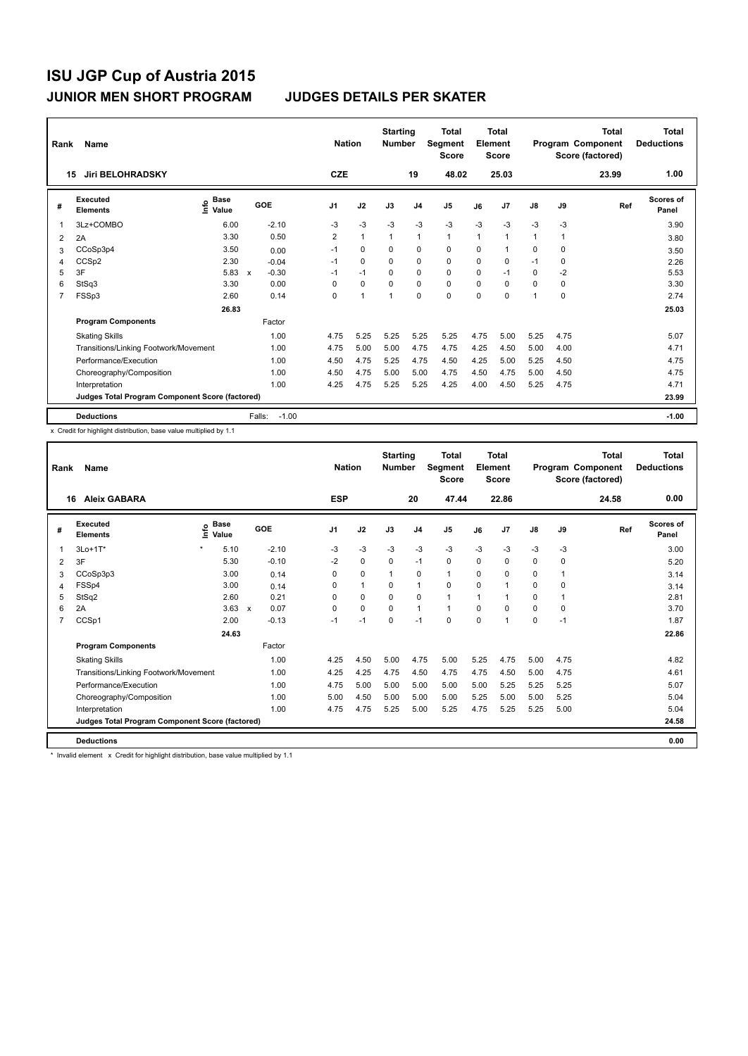| Rank | Name                                            |                                    |                         |         | <b>Nation</b>  |              | <b>Starting</b><br><b>Number</b> |                | <b>Total</b><br><b>Segment</b><br><b>Score</b> |      | <b>Total</b><br>Element<br><b>Score</b> |              |      | Total<br>Program Component<br>Score (factored) | <b>Total</b><br><b>Deductions</b> |
|------|-------------------------------------------------|------------------------------------|-------------------------|---------|----------------|--------------|----------------------------------|----------------|------------------------------------------------|------|-----------------------------------------|--------------|------|------------------------------------------------|-----------------------------------|
| 15   | <b>Jiri BELOHRADSKY</b>                         |                                    |                         |         | <b>CZE</b>     |              |                                  | 19             | 48.02                                          |      | 25.03                                   |              |      | 23.99                                          | 1.00                              |
| #    | Executed<br><b>Elements</b>                     | <b>Base</b><br>$\frac{6}{5}$ Value | GOE                     |         | J <sub>1</sub> | J2           | J3                               | J <sub>4</sub> | J <sub>5</sub>                                 | J6   | J <sub>7</sub>                          | J8           | J9   | Ref                                            | <b>Scores of</b><br>Panel         |
| 1    | 3Lz+COMBO                                       | 6.00                               | $-2.10$                 |         | $-3$           | $-3$         | $-3$                             | $-3$           | $-3$                                           | $-3$ | $-3$                                    | $-3$         | $-3$ |                                                | 3.90                              |
| 2    | 2A                                              | 3.30                               |                         | 0.50    | $\overline{2}$ | $\mathbf{1}$ | $\mathbf{1}$                     | $\mathbf{1}$   | $\mathbf{1}$                                   | 1    | 1                                       | $\mathbf{1}$ | 1    |                                                | 3.80                              |
| 3    | CCoSp3p4                                        | 3.50                               |                         | 0.00    | $-1$           | $\Omega$     | $\Omega$                         | 0              | $\mathbf 0$                                    | 0    | 1                                       | 0            | 0    |                                                | 3.50                              |
| 4    | CCSp2                                           | 2.30                               | $-0.04$                 |         | $-1$           | 0            | $\Omega$                         | 0              | 0                                              | 0    | 0                                       | $-1$         | 0    |                                                | 2.26                              |
| 5    | 3F                                              | 5.83                               | $-0.30$<br>$\mathsf{x}$ |         | $-1$           | $-1$         | $\Omega$                         | $\mathbf 0$    | $\Omega$                                       | 0    | $-1$                                    | $\Omega$     | $-2$ |                                                | 5.53                              |
| 6    | StSq3                                           | 3.30                               |                         | 0.00    | 0              | $\mathbf 0$  | $\mathbf 0$                      | $\mathbf 0$    | $\mathbf 0$                                    | 0    | $\Omega$                                | $\Omega$     | 0    |                                                | 3.30                              |
| 7    | FSSp3                                           | 2.60                               |                         | 0.14    | 0              | 1            | 1                                | $\mathbf 0$    | $\mathbf 0$                                    | 0    | 0                                       | 1            | 0    |                                                | 2.74                              |
|      |                                                 | 26.83                              |                         |         |                |              |                                  |                |                                                |      |                                         |              |      |                                                | 25.03                             |
|      | <b>Program Components</b>                       |                                    | Factor                  |         |                |              |                                  |                |                                                |      |                                         |              |      |                                                |                                   |
|      | <b>Skating Skills</b>                           |                                    |                         | 1.00    | 4.75           | 5.25         | 5.25                             | 5.25           | 5.25                                           | 4.75 | 5.00                                    | 5.25         | 4.75 |                                                | 5.07                              |
|      | Transitions/Linking Footwork/Movement           |                                    |                         | 1.00    | 4.75           | 5.00         | 5.00                             | 4.75           | 4.75                                           | 4.25 | 4.50                                    | 5.00         | 4.00 |                                                | 4.71                              |
|      | Performance/Execution                           |                                    |                         | 1.00    | 4.50           | 4.75         | 5.25                             | 4.75           | 4.50                                           | 4.25 | 5.00                                    | 5.25         | 4.50 |                                                | 4.75                              |
|      | Choreography/Composition                        |                                    |                         | 1.00    | 4.50           | 4.75         | 5.00                             | 5.00           | 4.75                                           | 4.50 | 4.75                                    | 5.00         | 4.50 |                                                | 4.75                              |
|      | Interpretation                                  |                                    |                         | 1.00    | 4.25           | 4.75         | 5.25                             | 5.25           | 4.25                                           | 4.00 | 4.50                                    | 5.25         | 4.75 |                                                | 4.71                              |
|      | Judges Total Program Component Score (factored) |                                    |                         |         |                |              |                                  |                |                                                |      |                                         |              |      |                                                | 23.99                             |
|      | <b>Deductions</b>                               |                                    | Falls:                  | $-1.00$ |                |              |                                  |                |                                                |      |                                         |              |      |                                                | $-1.00$                           |

x Credit for highlight distribution, base value multiplied by 1.1

| Rank | Name                                            |         |                                           |                           |            |            | <b>Nation</b> |              | <b>Starting</b><br><b>Number</b> |                | <b>Total</b><br>Segment<br><b>Score</b> |          | <b>Total</b><br>Element<br><b>Score</b> |          |      | <b>Total</b><br>Program Component<br>Score (factored) | <b>Total</b><br><b>Deductions</b> |
|------|-------------------------------------------------|---------|-------------------------------------------|---------------------------|------------|------------|---------------|--------------|----------------------------------|----------------|-----------------------------------------|----------|-----------------------------------------|----------|------|-------------------------------------------------------|-----------------------------------|
| 16   | <b>Aleix GABARA</b>                             |         |                                           |                           |            | <b>ESP</b> |               |              |                                  | 20             | 47.44                                   |          | 22.86                                   |          |      | 24.58                                                 | 0.00                              |
| #    | Executed<br><b>Elements</b>                     |         | $\frac{e}{E}$ Base<br>$\frac{E}{E}$ Value |                           | <b>GOE</b> | J1         |               | J2           | J3                               | J <sub>4</sub> | J5                                      | J6       | J <sub>7</sub>                          | J8       | J9   | Ref                                                   | <b>Scores of</b><br>Panel         |
| 1    | 3Lo+1T*                                         | $\star$ | 5.10                                      |                           | $-2.10$    | $-3$       |               | $-3$         | $-3$                             | $-3$           | $-3$                                    | $-3$     | $-3$                                    | $-3$     | $-3$ |                                                       | 3.00                              |
| 2    | 3F                                              |         | 5.30                                      |                           | $-0.10$    | $-2$       |               | $\Omega$     | $\Omega$                         | $-1$           | 0                                       | $\Omega$ | $\Omega$                                | 0        | 0    |                                                       | 5.20                              |
| 3    | CCoSp3p3                                        |         | 3.00                                      |                           | 0.14       | 0          |               | 0            | 1                                | 0              | $\mathbf{1}$                            | 0        | 0                                       | 0        | 1    |                                                       | 3.14                              |
| 4    | FSSp4                                           |         | 3.00                                      |                           | 0.14       | 0          |               | $\mathbf{1}$ | $\Omega$                         | 1              | 0                                       | 0        | 1                                       | 0        | 0    |                                                       | 3.14                              |
| 5    | StSq2                                           |         | 2.60                                      |                           | 0.21       | 0          |               | $\mathbf 0$  | $\Omega$                         | 0              | $\mathbf{1}$                            | 1        | 1                                       | 0        | 1    |                                                       | 2.81                              |
| 6    | 2A                                              |         | 3.63                                      | $\boldsymbol{\mathsf{x}}$ | 0.07       | $\Omega$   |               | $\Omega$     | $\Omega$                         | 1              | $\mathbf{1}$                            | $\Omega$ | 0                                       | 0        | 0    |                                                       | 3.70                              |
| 7    | CCSp1                                           |         | 2.00                                      |                           | $-0.13$    | $-1$       |               | $-1$         | $\Omega$                         | $-1$           | 0                                       | 0        | 1                                       | $\Omega$ | $-1$ |                                                       | 1.87                              |
|      |                                                 |         | 24.63                                     |                           |            |            |               |              |                                  |                |                                         |          |                                         |          |      |                                                       | 22.86                             |
|      | <b>Program Components</b>                       |         |                                           |                           | Factor     |            |               |              |                                  |                |                                         |          |                                         |          |      |                                                       |                                   |
|      | <b>Skating Skills</b>                           |         |                                           |                           | 1.00       | 4.25       |               | 4.50         | 5.00                             | 4.75           | 5.00                                    | 5.25     | 4.75                                    | 5.00     | 4.75 |                                                       | 4.82                              |
|      | Transitions/Linking Footwork/Movement           |         |                                           |                           | 1.00       | 4.25       |               | 4.25         | 4.75                             | 4.50           | 4.75                                    | 4.75     | 4.50                                    | 5.00     | 4.75 |                                                       | 4.61                              |
|      | Performance/Execution                           |         |                                           |                           | 1.00       | 4.75       |               | 5.00         | 5.00                             | 5.00           | 5.00                                    | 5.00     | 5.25                                    | 5.25     | 5.25 |                                                       | 5.07                              |
|      | Choreography/Composition                        |         |                                           |                           | 1.00       | 5.00       |               | 4.50         | 5.00                             | 5.00           | 5.00                                    | 5.25     | 5.00                                    | 5.00     | 5.25 |                                                       | 5.04                              |
|      | Interpretation                                  |         |                                           |                           | 1.00       | 4.75       |               | 4.75         | 5.25                             | 5.00           | 5.25                                    | 4.75     | 5.25                                    | 5.25     | 5.00 |                                                       | 5.04                              |
|      | Judges Total Program Component Score (factored) |         |                                           |                           |            |            |               |              |                                  |                |                                         |          |                                         |          |      |                                                       | 24.58                             |
|      | <b>Deductions</b>                               |         |                                           |                           |            |            |               |              |                                  |                |                                         |          |                                         |          |      |                                                       | 0.00                              |

\* Invalid element x Credit for highlight distribution, base value multiplied by 1.1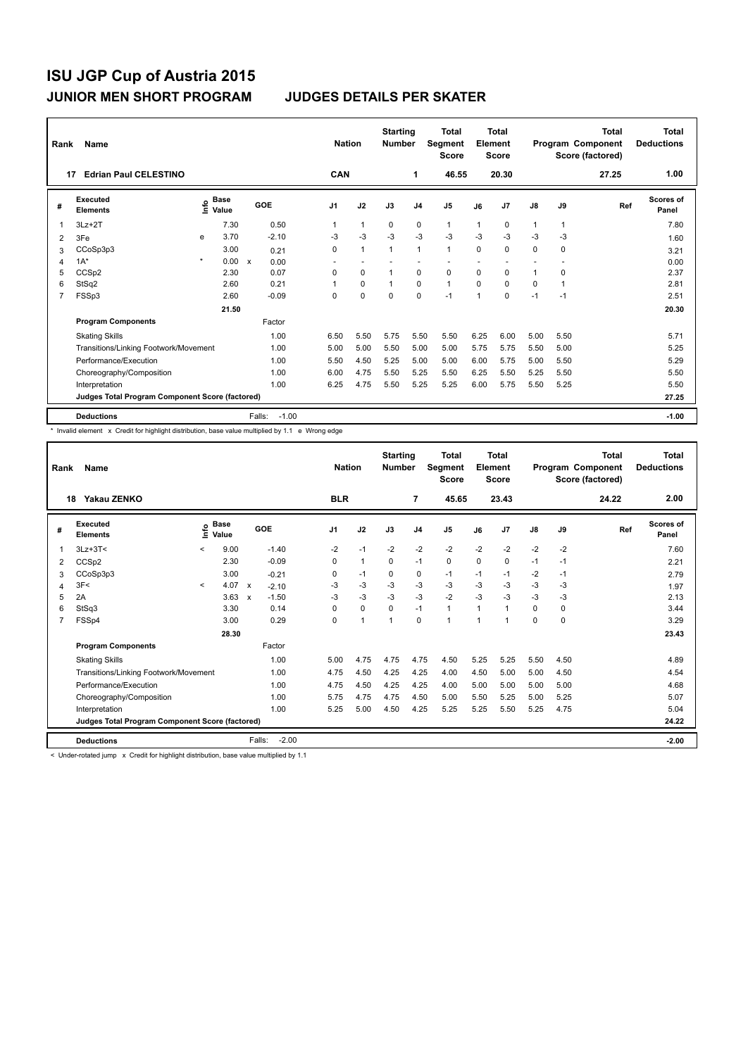| Rank | Name                                            |         |                                  |              |         | <b>Nation</b>            |              | <b>Starting</b><br><b>Number</b> |                | <b>Total</b><br><b>Segment</b><br><b>Score</b> |      | <b>Total</b><br>Element<br><b>Score</b> |      |      | <b>Total</b><br>Program Component<br>Score (factored) | <b>Total</b><br><b>Deductions</b> |
|------|-------------------------------------------------|---------|----------------------------------|--------------|---------|--------------------------|--------------|----------------------------------|----------------|------------------------------------------------|------|-----------------------------------------|------|------|-------------------------------------------------------|-----------------------------------|
| 17   | <b>Edrian Paul CELESTINO</b>                    |         |                                  |              |         | <b>CAN</b>               |              |                                  | 1              | 46.55                                          |      | 20.30                                   |      |      | 27.25                                                 | 1.00                              |
| #    | Executed<br><b>Elements</b>                     |         | <b>Base</b><br>e Base<br>⊆ Value |              | GOE     | J <sub>1</sub>           | J2           | J3                               | J <sub>4</sub> | J <sub>5</sub>                                 | J6   | J <sub>7</sub>                          | J8   | J9   | Ref                                                   | Scores of<br>Panel                |
| 1    | $3Lz + 2T$                                      |         | 7.30                             |              | 0.50    |                          | 1            | 0                                | 0              | $\mathbf{1}$                                   | 1    | 0                                       | 1    | 1    |                                                       | 7.80                              |
| 2    | 3Fe                                             | e       | 3.70                             |              | $-2.10$ | $-3$                     | $-3$         | $-3$                             | $-3$           | $-3$                                           | $-3$ | $-3$                                    | $-3$ | $-3$ |                                                       | 1.60                              |
| 3    | CCoSp3p3                                        |         | 3.00                             |              | 0.21    | 0                        | $\mathbf{1}$ | $\mathbf{1}$                     | $\mathbf{1}$   | $\mathbf{1}$                                   | 0    | 0                                       | 0    | 0    |                                                       | 3.21                              |
| 4    | $1A^*$                                          | $\star$ | 0.00                             | $\mathsf{x}$ | 0.00    | $\overline{\phantom{0}}$ | ٠            |                                  | ٠              |                                                |      |                                         |      |      |                                                       | 0.00                              |
| 5    | CCSp2                                           |         | 2.30                             |              | 0.07    | 0                        | $\Omega$     | 1                                | $\mathbf 0$    | $\mathbf 0$                                    | 0    | $\Omega$                                | 1    | 0    |                                                       | 2.37                              |
| 6    | StSq2                                           |         | 2.60                             |              | 0.21    |                          | $\mathbf 0$  | $\mathbf{1}$                     | $\mathbf 0$    | $\mathbf{1}$                                   | 0    | $\Omega$                                | 0    | 1    |                                                       | 2.81                              |
| 7    | FSSp3                                           |         | 2.60                             |              | $-0.09$ | $\mathbf 0$              | $\mathbf 0$  | $\mathbf 0$                      | $\mathbf 0$    | $-1$                                           | 1    | 0                                       | $-1$ | $-1$ |                                                       | 2.51                              |
|      |                                                 |         | 21.50                            |              |         |                          |              |                                  |                |                                                |      |                                         |      |      |                                                       | 20.30                             |
|      | <b>Program Components</b>                       |         |                                  |              | Factor  |                          |              |                                  |                |                                                |      |                                         |      |      |                                                       |                                   |
|      | <b>Skating Skills</b>                           |         |                                  |              | 1.00    | 6.50                     | 5.50         | 5.75                             | 5.50           | 5.50                                           | 6.25 | 6.00                                    | 5.00 | 5.50 |                                                       | 5.71                              |
|      | Transitions/Linking Footwork/Movement           |         |                                  |              | 1.00    | 5.00                     | 5.00         | 5.50                             | 5.00           | 5.00                                           | 5.75 | 5.75                                    | 5.50 | 5.00 |                                                       | 5.25                              |
|      | Performance/Execution                           |         |                                  |              | 1.00    | 5.50                     | 4.50         | 5.25                             | 5.00           | 5.00                                           | 6.00 | 5.75                                    | 5.00 | 5.50 |                                                       | 5.29                              |
|      | Choreography/Composition                        |         |                                  |              | 1.00    | 6.00                     | 4.75         | 5.50                             | 5.25           | 5.50                                           | 6.25 | 5.50                                    | 5.25 | 5.50 |                                                       | 5.50                              |
|      | Interpretation                                  |         |                                  |              | 1.00    | 6.25                     | 4.75         | 5.50                             | 5.25           | 5.25                                           | 6.00 | 5.75                                    | 5.50 | 5.25 |                                                       | 5.50                              |
|      | Judges Total Program Component Score (factored) |         |                                  |              |         |                          |              |                                  |                |                                                |      |                                         |      |      |                                                       | 27.25                             |
|      | <b>Deductions</b>                               |         |                                  | Falls:       | $-1.00$ |                          |              |                                  |                |                                                |      |                                         |      |      |                                                       | $-1.00$                           |

\* Invalid element x Credit for highlight distribution, base value multiplied by 1.1 e Wrong edge

| Rank                    | Name                                            |         |                                      |                           |                   | <b>Nation</b> |              | <b>Starting</b><br><b>Number</b> |                | <b>Total</b><br>Segment<br><b>Score</b> |          | <b>Total</b><br>Element<br><b>Score</b> |               |          | Total<br>Program Component<br>Score (factored) | <b>Total</b><br><b>Deductions</b> |
|-------------------------|-------------------------------------------------|---------|--------------------------------------|---------------------------|-------------------|---------------|--------------|----------------------------------|----------------|-----------------------------------------|----------|-----------------------------------------|---------------|----------|------------------------------------------------|-----------------------------------|
|                         | Yakau ZENKO<br>18                               |         |                                      |                           |                   | <b>BLR</b>    |              |                                  | 7              | 45.65                                   |          | 23.43                                   |               |          | 24.22                                          | 2.00                              |
| #                       | Executed<br><b>Elements</b>                     |         | $\sum_{k=1}^{\infty}$ Value<br>Value |                           | GOE               | J1            | J2           | J3                               | J <sub>4</sub> | J <sub>5</sub>                          | J6       | J <sub>7</sub>                          | $\mathsf{J}8$ | J9       | Ref                                            | <b>Scores of</b><br>Panel         |
|                         | $3Lz + 3T <$                                    | $\prec$ | 9.00                                 |                           | $-1.40$           | $-2$          | $-1$         | $-2$                             | $-2$           | $-2$                                    | $-2$     | $-2$                                    | $-2$          | $-2$     |                                                | 7.60                              |
| 2                       | CCSp2                                           |         | 2.30                                 |                           | $-0.09$           | $\Omega$      | $\mathbf{1}$ | $\Omega$                         | $-1$           | 0                                       | $\Omega$ | 0                                       | $-1$          | $-1$     |                                                | 2.21                              |
| 3                       | CCoSp3p3                                        |         | 3.00                                 |                           | $-0.21$           | 0             | $-1$         | 0                                | 0              | $-1$                                    | $-1$     | $-1$                                    | $-2$          | -1       |                                                | 2.79                              |
| $\overline{\mathbf{A}}$ | 3F<                                             | $\prec$ | 4.07                                 | $\boldsymbol{\mathsf{x}}$ | $-2.10$           | -3            | $-3$         | -3                               | $-3$           | $-3$                                    | -3       | $-3$                                    | $-3$          | $-3$     |                                                | 1.97                              |
| 5                       | 2A                                              |         | 3.63                                 | $\boldsymbol{\mathsf{x}}$ | $-1.50$           | $-3$          | -3           | $-3$                             | $-3$           | $-2$                                    | $-3$     | $-3$                                    | $-3$          | -3       |                                                | 2.13                              |
| 6                       | StSq3                                           |         | 3.30                                 |                           | 0.14              | $\Omega$      | $\Omega$     | $\Omega$                         | $-1$           | $\mathbf{1}$                            | 1        | $\mathbf{1}$                            | 0             | $\Omega$ |                                                | 3.44                              |
| $\overline{7}$          | FSSp4                                           |         | 3.00                                 |                           | 0.29              | $\Omega$      | $\mathbf{1}$ | $\mathbf{1}$                     | $\Omega$       | 1                                       | 1        | 1                                       | 0             | $\Omega$ |                                                | 3.29                              |
|                         |                                                 |         | 28.30                                |                           |                   |               |              |                                  |                |                                         |          |                                         |               |          |                                                | 23.43                             |
|                         | <b>Program Components</b>                       |         |                                      |                           | Factor            |               |              |                                  |                |                                         |          |                                         |               |          |                                                |                                   |
|                         | <b>Skating Skills</b>                           |         |                                      |                           | 1.00              | 5.00          | 4.75         | 4.75                             | 4.75           | 4.50                                    | 5.25     | 5.25                                    | 5.50          | 4.50     |                                                | 4.89                              |
|                         | Transitions/Linking Footwork/Movement           |         |                                      |                           | 1.00              | 4.75          | 4.50         | 4.25                             | 4.25           | 4.00                                    | 4.50     | 5.00                                    | 5.00          | 4.50     |                                                | 4.54                              |
|                         | Performance/Execution                           |         |                                      |                           | 1.00              | 4.75          | 4.50         | 4.25                             | 4.25           | 4.00                                    | 5.00     | 5.00                                    | 5.00          | 5.00     |                                                | 4.68                              |
|                         | Choreography/Composition                        |         |                                      |                           | 1.00              | 5.75          | 4.75         | 4.75                             | 4.50           | 5.00                                    | 5.50     | 5.25                                    | 5.00          | 5.25     |                                                | 5.07                              |
|                         | Interpretation                                  |         |                                      |                           | 1.00              | 5.25          | 5.00         | 4.50                             | 4.25           | 5.25                                    | 5.25     | 5.50                                    | 5.25          | 4.75     |                                                | 5.04                              |
|                         | Judges Total Program Component Score (factored) |         |                                      |                           |                   |               |              |                                  |                |                                         |          |                                         |               |          |                                                | 24.22                             |
|                         | <b>Deductions</b>                               |         |                                      |                           | $-2.00$<br>Falls: |               |              |                                  |                |                                         |          |                                         |               |          |                                                | $-2.00$                           |

< Under-rotated jump x Credit for highlight distribution, base value multiplied by 1.1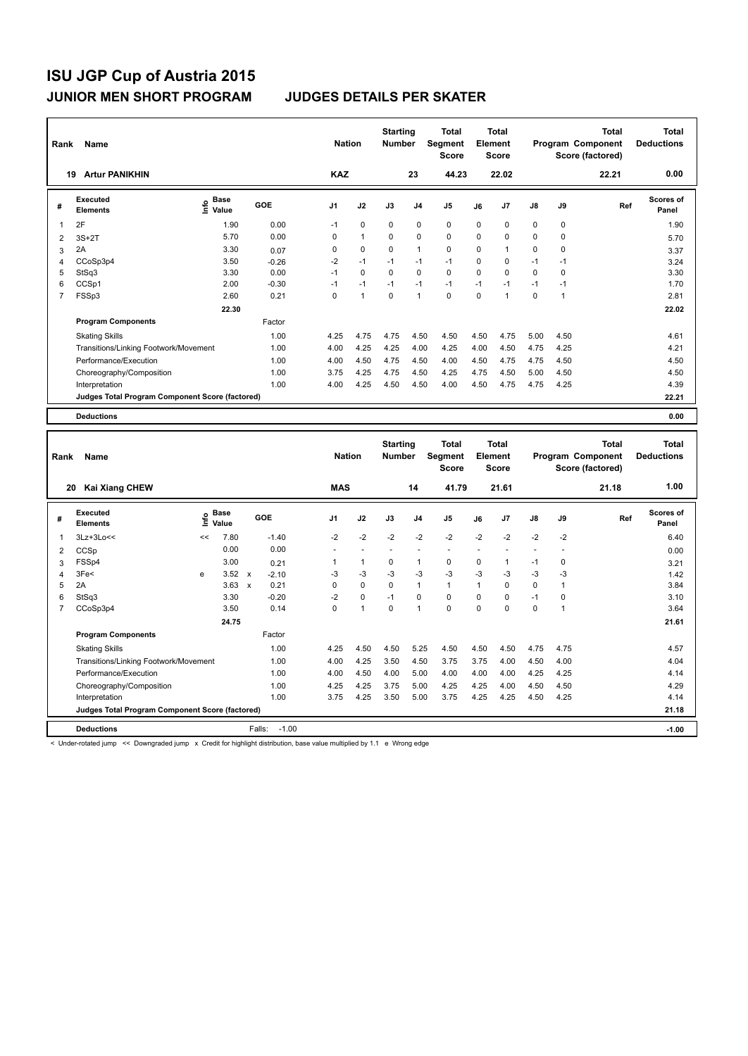| <b>Artur PANIKHIN</b><br>19<br>Executed<br><b>Base</b><br>lnfo<br>GOE<br>#<br>Value<br><b>Elements</b><br>2F<br>1.90<br>$\overline{1}$<br>5.70<br>$3S+2T$<br>2<br>2A<br>3.30<br>3<br>CCoSp3p4<br>3.50<br>$\overline{4}$<br>StSq3<br>3.30<br>5<br>CCSp1<br>6<br>2.00<br>$\overline{7}$<br>FSSp3<br>2.60 |         | <b>Nation</b>  |              | <b>Starting</b><br><b>Number</b> |                | Total<br>Segment<br><b>Score</b> | Element  | Total<br>Score |          | Program Component | Total<br>Score (factored) | Total<br><b>Deductions</b> |
|--------------------------------------------------------------------------------------------------------------------------------------------------------------------------------------------------------------------------------------------------------------------------------------------------------|---------|----------------|--------------|----------------------------------|----------------|----------------------------------|----------|----------------|----------|-------------------|---------------------------|----------------------------|
|                                                                                                                                                                                                                                                                                                        |         | <b>KAZ</b>     |              |                                  | 23             | 44.23                            |          | 22.02          |          |                   | 22.21                     | 0.00                       |
|                                                                                                                                                                                                                                                                                                        |         | J <sub>1</sub> | J2           | J3                               | J <sub>4</sub> | J <sub>5</sub>                   | J6       | J7             | J8       | J9                | Ref                       | <b>Scores of</b><br>Panel  |
|                                                                                                                                                                                                                                                                                                        | 0.00    | $-1$           | $\mathbf 0$  | $\Omega$                         | $\mathbf 0$    | $\Omega$                         | $\Omega$ | 0              | 0        | 0                 |                           | 1.90                       |
|                                                                                                                                                                                                                                                                                                        | 0.00    | $\Omega$       | $\mathbf{1}$ | $\Omega$                         | $\Omega$       | $\Omega$                         | $\Omega$ | 0              | 0        | 0                 |                           | 5.70                       |
|                                                                                                                                                                                                                                                                                                        | 0.07    | $\Omega$       | $\Omega$     | $\Omega$                         | $\mathbf{1}$   | $\Omega$                         | $\Omega$ | 1              | 0        | 0                 |                           | 3.37                       |
|                                                                                                                                                                                                                                                                                                        | $-0.26$ | $-2$           | $-1$         | $-1$                             | $-1$           | $-1$                             | $\Omega$ | 0              | $-1$     | $-1$              |                           | 3.24                       |
|                                                                                                                                                                                                                                                                                                        | 0.00    | $-1$           | $\Omega$     | $\Omega$                         | $\Omega$       | $\Omega$                         | $\Omega$ | 0              | $\Omega$ | 0                 |                           | 3.30                       |
|                                                                                                                                                                                                                                                                                                        | $-0.30$ | $-1$           | $-1$         | $-1$                             | $-1$           | $-1$                             | $-1$     | $-1$           | $-1$     | $-1$              |                           | 1.70                       |
|                                                                                                                                                                                                                                                                                                        | 0.21    | $\Omega$       | 1            | $\Omega$                         | $\mathbf{1}$   | $\Omega$                         | $\Omega$ | 1              | 0        | 1                 |                           | 2.81                       |
| 22.30                                                                                                                                                                                                                                                                                                  |         |                |              |                                  |                |                                  |          |                |          |                   |                           | 22.02                      |
| <b>Program Components</b>                                                                                                                                                                                                                                                                              | Factor  |                |              |                                  |                |                                  |          |                |          |                   |                           |                            |
| <b>Skating Skills</b>                                                                                                                                                                                                                                                                                  | 1.00    | 4.25           | 4.75         | 4.75                             | 4.50           | 4.50                             | 4.50     | 4.75           | 5.00     | 4.50              |                           | 4.61                       |
| Transitions/Linking Footwork/Movement                                                                                                                                                                                                                                                                  | 1.00    | 4.00           | 4.25         | 4.25                             | 4.00           | 4.25                             | 4.00     | 4.50           | 4.75     | 4.25              |                           | 4.21                       |
| Performance/Execution                                                                                                                                                                                                                                                                                  | 1.00    | 4.00           | 4.50         | 4.75                             | 4.50           | 4.00                             | 4.50     | 4.75           | 4.75     | 4.50              |                           | 4.50                       |
| Choreography/Composition                                                                                                                                                                                                                                                                               | 1.00    | 3.75           | 4.25         | 4.75                             | 4.50           | 4.25                             | 4.75     | 4.50           | 5.00     | 4.50              |                           | 4.50                       |
| Interpretation                                                                                                                                                                                                                                                                                         | 1.00    | 4.00           | 4.25         | 4.50                             | 4.50           | 4.00                             | 4.50     | 4.75           | 4.75     | 4.25              |                           | 4.39                       |
| Judges Total Program Component Score (factored)                                                                                                                                                                                                                                                        |         |                |              |                                  |                |                                  |          |                |          |                   |                           | 22.21                      |
| <b>Deductions</b>                                                                                                                                                                                                                                                                                      |         |                |              |                                  |                |                                  |          |                |          |                   |                           | 0.00                       |

| Rank           | Name                                            |    |                      |                           |                   | <b>Nation</b> |                | <b>Starting</b><br><b>Number</b> |                | Total<br>Segment<br><b>Score</b> |              | <b>Total</b><br>Element<br><b>Score</b> |                          |          | <b>Total</b><br>Program Component<br>Score (factored) | Total<br><b>Deductions</b> |
|----------------|-------------------------------------------------|----|----------------------|---------------------------|-------------------|---------------|----------------|----------------------------------|----------------|----------------------------------|--------------|-----------------------------------------|--------------------------|----------|-------------------------------------------------------|----------------------------|
| 20             | <b>Kai Xiang CHEW</b>                           |    |                      |                           |                   | <b>MAS</b>    |                |                                  | 14             | 41.79                            |              | 21.61                                   |                          |          | 21.18                                                 | 1.00                       |
| #              | Executed<br><b>Elements</b>                     | ١m | <b>Base</b><br>Value |                           | GOE               | J1            | J2             | J3                               | J <sub>4</sub> | J <sub>5</sub>                   | J6           | J <sub>7</sub>                          | $\mathsf{J}8$            | J9       | Ref                                                   | <b>Scores of</b><br>Panel  |
| 1              | $3Lz+3Lo<<$                                     | << | 7.80                 |                           | $-1.40$           | $-2$          | $-2$           | $-2$                             | $-2$           | $-2$                             | $-2$         | $-2$                                    | $-2$                     | $-2$     |                                                       | 6.40                       |
| 2              | CCSp                                            |    | 0.00                 |                           | 0.00              | ٠             |                | ٠                                |                | ٠                                |              |                                         | $\overline{\phantom{a}}$ |          |                                                       | 0.00                       |
| 3              | FSSp4                                           |    | 3.00                 |                           | 0.21              |               | $\mathbf{1}$   | 0                                | $\overline{1}$ | 0                                | 0            |                                         | $-1$                     | 0        |                                                       | 3.21                       |
| 4              | 3Fe<                                            | e  | 3.52                 | $\boldsymbol{\mathsf{x}}$ | $-2.10$           | -3            | $-3$           | $-3$                             | $-3$           | $-3$                             | $-3$         | $-3$                                    | $-3$                     | $-3$     |                                                       | 1.42                       |
| 5              | 2A                                              |    | 3.63                 | $\boldsymbol{\mathsf{x}}$ | 0.21              | 0             | $\mathbf 0$    | 0                                | $\mathbf{1}$   | $\mathbf{1}$                     | $\mathbf{1}$ | 0                                       | $\mathbf 0$              |          |                                                       | 3.84                       |
| 6              | StSq3                                           |    | 3.30                 |                           | $-0.20$           | $-2$          | $\mathbf 0$    | $-1$                             | $\Omega$       | $\Omega$                         | $\Omega$     | $\Omega$                                | $-1$                     | $\Omega$ |                                                       | 3.10                       |
| $\overline{7}$ | CCoSp3p4                                        |    | 3.50                 |                           | 0.14              | 0             | $\overline{1}$ | $\Omega$                         | $\overline{1}$ | $\Omega$                         | $\Omega$     | $\Omega$                                | $\Omega$                 |          |                                                       | 3.64                       |
|                |                                                 |    | 24.75                |                           |                   |               |                |                                  |                |                                  |              |                                         |                          |          |                                                       | 21.61                      |
|                | <b>Program Components</b>                       |    |                      |                           | Factor            |               |                |                                  |                |                                  |              |                                         |                          |          |                                                       |                            |
|                | <b>Skating Skills</b>                           |    |                      |                           | 1.00              | 4.25          | 4.50           | 4.50                             | 5.25           | 4.50                             | 4.50         | 4.50                                    | 4.75                     | 4.75     |                                                       | 4.57                       |
|                | Transitions/Linking Footwork/Movement           |    |                      |                           | 1.00              | 4.00          | 4.25           | 3.50                             | 4.50           | 3.75                             | 3.75         | 4.00                                    | 4.50                     | 4.00     |                                                       | 4.04                       |
|                | Performance/Execution                           |    |                      |                           | 1.00              | 4.00          | 4.50           | 4.00                             | 5.00           | 4.00                             | 4.00         | 4.00                                    | 4.25                     | 4.25     |                                                       | 4.14                       |
|                | Choreography/Composition                        |    |                      |                           | 1.00              | 4.25          | 4.25           | 3.75                             | 5.00           | 4.25                             | 4.25         | 4.00                                    | 4.50                     | 4.50     |                                                       | 4.29                       |
|                | Interpretation                                  |    |                      |                           | 1.00              | 3.75          | 4.25           | 3.50                             | 5.00           | 3.75                             | 4.25         | 4.25                                    | 4.50                     | 4.25     |                                                       | 4.14                       |
|                | Judges Total Program Component Score (factored) |    |                      |                           |                   |               |                |                                  |                |                                  |              |                                         |                          |          |                                                       | 21.18                      |
|                | <b>Deductions</b>                               |    |                      |                           | $-1.00$<br>Falls: |               |                |                                  |                |                                  |              |                                         |                          |          |                                                       | $-1.00$                    |

< Under-rotated jump << Downgraded jump x Credit for highlight distribution, base value multiplied by 1.1 e Wrong edge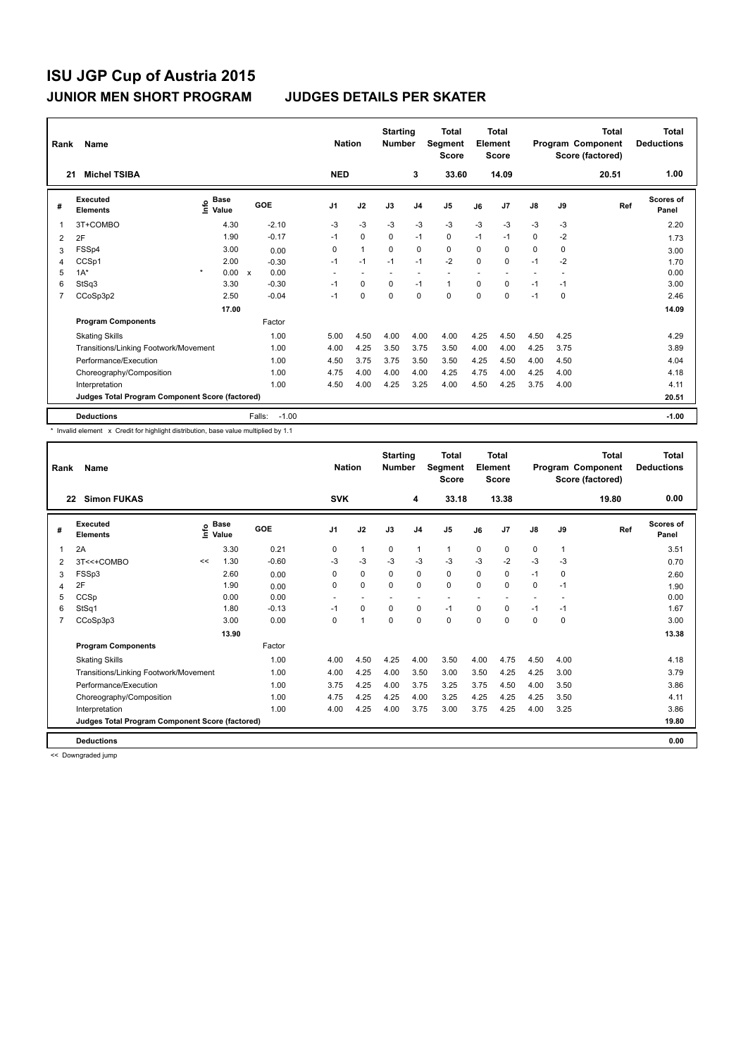| Rank | Name                                            |                              |       |                   |                | <b>Nation</b>  | <b>Starting</b><br><b>Number</b> |                | Total<br>Segment<br><b>Score</b> |          | <b>Total</b><br>Element<br><b>Score</b> |      |      | <b>Total</b><br>Program Component<br>Score (factored) | <b>Total</b><br><b>Deductions</b> |
|------|-------------------------------------------------|------------------------------|-------|-------------------|----------------|----------------|----------------------------------|----------------|----------------------------------|----------|-----------------------------------------|------|------|-------------------------------------------------------|-----------------------------------|
| 21   | <b>Michel TSIBA</b>                             |                              |       |                   | <b>NED</b>     |                |                                  | 3              | 33.60                            |          | 14.09                                   |      |      | 20.51                                                 | 1.00                              |
| #    | Executed<br><b>Elements</b>                     | <b>Base</b><br>lnfo<br>Value |       | GOE               | J <sub>1</sub> | J2             | J3                               | J <sub>4</sub> | J <sub>5</sub>                   | J6       | J <sub>7</sub>                          | J8   | J9   | Ref                                                   | <b>Scores of</b><br>Panel         |
| 1    | 3T+COMBO                                        |                              | 4.30  | $-2.10$           | $-3$           | $-3$           | $-3$                             | $-3$           | $-3$                             | $-3$     | $-3$                                    | $-3$ | -3   |                                                       | 2.20                              |
| 2    | 2F                                              |                              | 1.90  | $-0.17$           | $-1$           | $\Omega$       | $\Omega$                         | $-1$           | $\Omega$                         | $-1$     | $-1$                                    | 0    | $-2$ |                                                       | 1.73                              |
| 3    | FSSp4                                           |                              | 3.00  | 0.00              | 0              | $\overline{1}$ | $\Omega$                         | 0              | $\mathbf 0$                      | $\Omega$ | 0                                       | 0    | 0    |                                                       | 3.00                              |
| 4    | CCSp1                                           |                              | 2.00  | $-0.30$           | $-1$           | $-1$           | $-1$                             | $-1$           | $-2$                             | $\Omega$ | 0                                       | $-1$ | $-2$ |                                                       | 1.70                              |
| 5    | $1A^*$                                          | $\star$                      | 0.00  | 0.00<br>X         | ٠              |                |                                  |                |                                  |          |                                         |      |      |                                                       | 0.00                              |
| 6    | StSq3                                           |                              | 3.30  | $-0.30$           | $-1$           | $\mathbf 0$    | $\mathbf 0$                      | $-1$           | $\mathbf{1}$                     | 0        | 0                                       | $-1$ | $-1$ |                                                       | 3.00                              |
| 7    | CCoSp3p2                                        |                              | 2.50  | $-0.04$           | $-1$           | 0              | 0                                | 0              | 0                                | 0        | 0                                       | $-1$ | 0    |                                                       | 2.46                              |
|      |                                                 |                              | 17.00 |                   |                |                |                                  |                |                                  |          |                                         |      |      |                                                       | 14.09                             |
|      | <b>Program Components</b>                       |                              |       | Factor            |                |                |                                  |                |                                  |          |                                         |      |      |                                                       |                                   |
|      | <b>Skating Skills</b>                           |                              |       | 1.00              | 5.00           | 4.50           | 4.00                             | 4.00           | 4.00                             | 4.25     | 4.50                                    | 4.50 | 4.25 |                                                       | 4.29                              |
|      | Transitions/Linking Footwork/Movement           |                              |       | 1.00              | 4.00           | 4.25           | 3.50                             | 3.75           | 3.50                             | 4.00     | 4.00                                    | 4.25 | 3.75 |                                                       | 3.89                              |
|      | Performance/Execution                           |                              |       | 1.00              | 4.50           | 3.75           | 3.75                             | 3.50           | 3.50                             | 4.25     | 4.50                                    | 4.00 | 4.50 |                                                       | 4.04                              |
|      | Choreography/Composition                        |                              |       | 1.00              | 4.75           | 4.00           | 4.00                             | 4.00           | 4.25                             | 4.75     | 4.00                                    | 4.25 | 4.00 |                                                       | 4.18                              |
|      | Interpretation                                  |                              |       | 1.00              | 4.50           | 4.00           | 4.25                             | 3.25           | 4.00                             | 4.50     | 4.25                                    | 3.75 | 4.00 |                                                       | 4.11                              |
|      | Judges Total Program Component Score (factored) |                              |       |                   |                |                |                                  |                |                                  |          |                                         |      |      |                                                       | 20.51                             |
|      | <b>Deductions</b>                               |                              |       | Falls:<br>$-1.00$ |                |                |                                  |                |                                  |          |                                         |      |      |                                                       | $-1.00$                           |

\* Invalid element x Credit for highlight distribution, base value multiplied by 1.1

| Rank | Name                                            |    |                                  |         | <b>Nation</b> |                | <b>Starting</b><br><b>Number</b> |                          | <b>Total</b><br>Segment<br><b>Score</b> |          | <b>Total</b><br>Element<br><b>Score</b> |                          |              | <b>Total</b><br>Program Component<br>Score (factored) | Total<br><b>Deductions</b> |
|------|-------------------------------------------------|----|----------------------------------|---------|---------------|----------------|----------------------------------|--------------------------|-----------------------------------------|----------|-----------------------------------------|--------------------------|--------------|-------------------------------------------------------|----------------------------|
| 22   | <b>Simon FUKAS</b>                              |    |                                  |         | <b>SVK</b>    |                |                                  | 4                        | 33.18                                   |          | 13.38                                   |                          |              | 19.80                                                 | 0.00                       |
| #    | <b>Executed</b><br><b>Elements</b>              |    | <b>Base</b><br>e Base<br>⊆ Value | GOE     | J1            | J2             | J3                               | J <sub>4</sub>           | J <sub>5</sub>                          | J6       | J7                                      | $\mathsf{J}8$            | J9           | Ref                                                   | Scores of<br>Panel         |
| 1    | 2A                                              |    | 3.30                             | 0.21    | 0             | $\mathbf{1}$   | $\mathbf 0$                      | $\mathbf{1}$             | $\mathbf{1}$                            | 0        | 0                                       | $\mathbf 0$              | $\mathbf{1}$ |                                                       | 3.51                       |
| 2    | 3T<<+COMBO                                      | << | 1.30                             | $-0.60$ | $-3$          | $-3$           | $-3$                             | $-3$                     | $-3$                                    | $-3$     | $-2$                                    | $-3$                     | $-3$         |                                                       | 0.70                       |
| 3    | FSSp3                                           |    | 2.60                             | 0.00    | 0             | $\mathbf 0$    | 0                                | $\mathbf 0$              | $\mathbf 0$                             | $\Omega$ | 0                                       | $-1$                     | 0            |                                                       | 2.60                       |
| 4    | 2F                                              |    | 1.90                             | 0.00    | 0             | $\mathbf 0$    | $\mathbf 0$                      | $\mathbf 0$              | $\mathbf 0$                             | $\Omega$ | $\Omega$                                | 0                        | $-1$         |                                                       | 1.90                       |
| 5    | CCSp                                            |    | 0.00                             | 0.00    | ۰             | ٠              |                                  | $\overline{\phantom{a}}$ | $\sim$                                  |          |                                         | $\overline{\phantom{a}}$ |              |                                                       | 0.00                       |
| 6    | StSq1                                           |    | 1.80                             | $-0.13$ | $-1$          | $\mathbf 0$    | $\Omega$                         | 0                        | $-1$                                    | $\Omega$ | 0                                       | $-1$                     | $-1$         |                                                       | 1.67                       |
|      | CCoSp3p3                                        |    | 3.00                             | 0.00    | $\Omega$      | $\overline{1}$ | $\Omega$                         | $\Omega$                 | $\Omega$                                | $\Omega$ | $\Omega$                                | $\Omega$                 | $\Omega$     |                                                       | 3.00                       |
|      |                                                 |    | 13.90                            |         |               |                |                                  |                          |                                         |          |                                         |                          |              |                                                       | 13.38                      |
|      | <b>Program Components</b>                       |    |                                  | Factor  |               |                |                                  |                          |                                         |          |                                         |                          |              |                                                       |                            |
|      | <b>Skating Skills</b>                           |    |                                  | 1.00    | 4.00          | 4.50           | 4.25                             | 4.00                     | 3.50                                    | 4.00     | 4.75                                    | 4.50                     | 4.00         |                                                       | 4.18                       |
|      | Transitions/Linking Footwork/Movement           |    |                                  | 1.00    | 4.00          | 4.25           | 4.00                             | 3.50                     | 3.00                                    | 3.50     | 4.25                                    | 4.25                     | 3.00         |                                                       | 3.79                       |
|      | Performance/Execution                           |    |                                  | 1.00    | 3.75          | 4.25           | 4.00                             | 3.75                     | 3.25                                    | 3.75     | 4.50                                    | 4.00                     | 3.50         |                                                       | 3.86                       |
|      | Choreography/Composition                        |    |                                  | 1.00    | 4.75          | 4.25           | 4.25                             | 4.00                     | 3.25                                    | 4.25     | 4.25                                    | 4.25                     | 3.50         |                                                       | 4.11                       |
|      | Interpretation                                  |    |                                  | 1.00    | 4.00          | 4.25           | 4.00                             | 3.75                     | 3.00                                    | 3.75     | 4.25                                    | 4.00                     | 3.25         |                                                       | 3.86                       |
|      | Judges Total Program Component Score (factored) |    |                                  |         |               |                |                                  |                          |                                         |          |                                         |                          |              |                                                       | 19.80                      |
|      | <b>Deductions</b>                               |    |                                  |         |               |                |                                  |                          |                                         |          |                                         |                          |              |                                                       | 0.00                       |

<< Downgraded jump